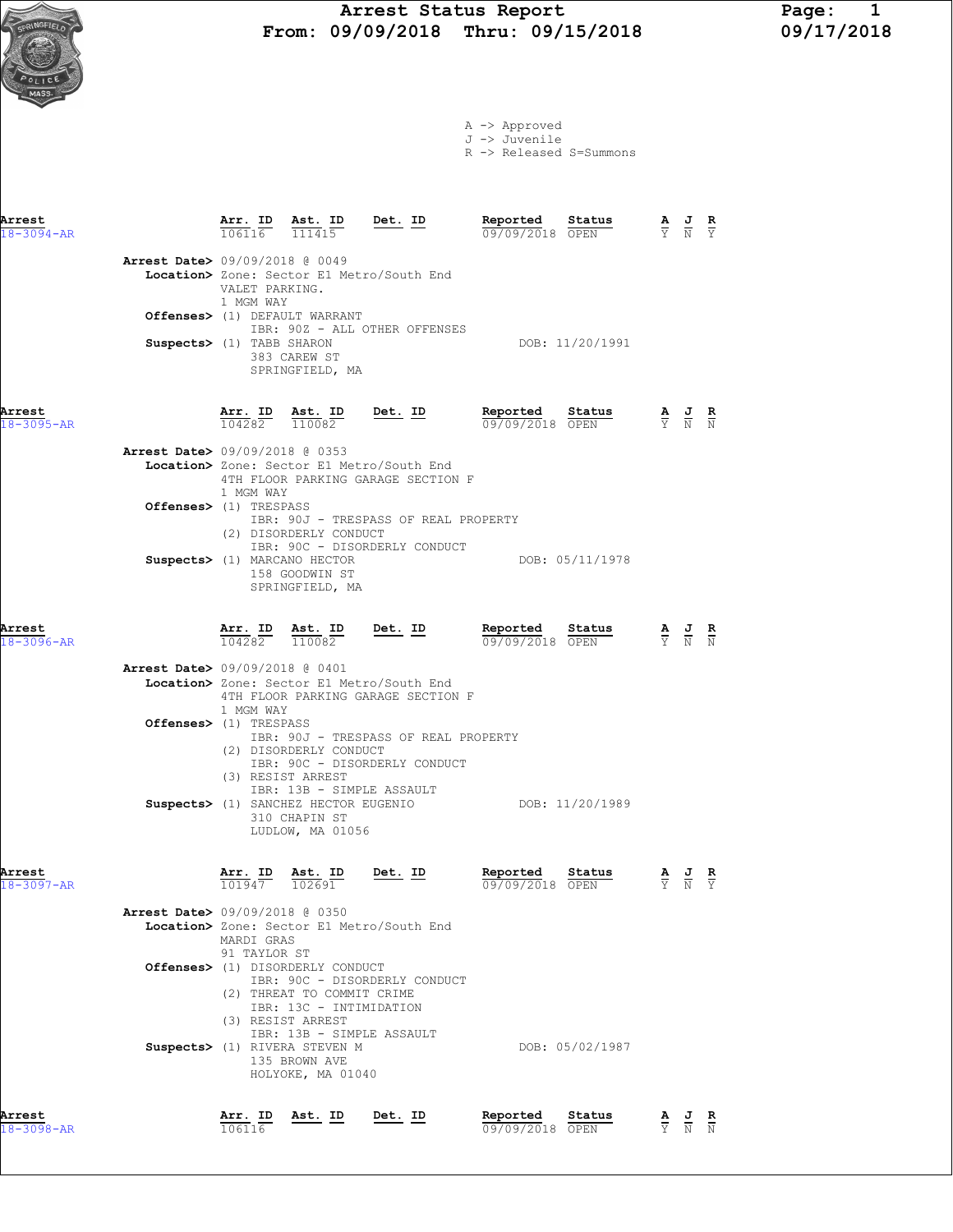#### Arrest Status Report Page: 1  $\sum_{s \in \mathbb{N}} \mathbb{P}$  From: 09/09/2018 Thru: 09/15/2018 09/17/2018



|  | A -> Approved |
|--|---------------|
|  | J -> Juvenile |

R -> Released S=Summons

| Arrest<br>18-3094-AR       |                                |                             | $\frac{\texttt{Arr. ID}}{106116}$ $\frac{\texttt{ Ast. ID}}{111415}$ Det. ID                                   |                                                                                 | Reported<br>09/09/2018 OPEN | Status                                             | $\frac{\mathbf{A}}{\mathbf{Y}}$ $\frac{\mathbf{J}}{\mathbf{N}}$ $\frac{\mathbf{R}}{\mathbf{Y}}$ |                                                 |  |
|----------------------------|--------------------------------|-----------------------------|----------------------------------------------------------------------------------------------------------------|---------------------------------------------------------------------------------|-----------------------------|----------------------------------------------------|-------------------------------------------------------------------------------------------------|-------------------------------------------------|--|
|                            | Arrest Date> 09/09/2018 @ 0049 | VALET PARKING.<br>1 MGM WAY |                                                                                                                | Location> Zone: Sector E1 Metro/South End                                       |                             |                                                    |                                                                                                 |                                                 |  |
|                            |                                |                             | Offenses> (1) DEFAULT WARRANT                                                                                  | IBR: 90Z - ALL OTHER OFFENSES                                                   |                             |                                                    |                                                                                                 |                                                 |  |
|                            | Suspects> (1) TABB SHARON      |                             | 383 CAREW ST<br>SPRINGFIELD, MA                                                                                |                                                                                 |                             | DOB: 11/20/1991                                    |                                                                                                 |                                                 |  |
| Arrest<br>$18 - 3095 - AR$ |                                |                             | $\frac{\texttt{Arr. ID}}{104282}$ $\frac{\texttt{ Ast. ID}}{110082}$ Det. ID                                   |                                                                                 | Reported                    | <b>Reported Status A J R</b> 09/09/2018 OPEN Y N N |                                                                                                 |                                                 |  |
|                            | Arrest Date> 09/09/2018 @ 0353 | 1 MGM WAY                   |                                                                                                                | Location> Zone: Sector E1 Metro/South End<br>4TH FLOOR PARKING GARAGE SECTION F |                             |                                                    |                                                                                                 |                                                 |  |
|                            | Offenses> (1) TRESPASS         |                             | (2) DISORDERLY CONDUCT                                                                                         | IBR: 90J - TRESPASS OF REAL PROPERTY<br>IBR: 90C - DISORDERLY CONDUCT           |                             |                                                    |                                                                                                 |                                                 |  |
|                            |                                |                             | Suspects> (1) MARCANO HECTOR<br>158 GOODWIN ST<br>SPRINGFIELD, MA                                              |                                                                                 |                             | DOB: 05/11/1978                                    |                                                                                                 |                                                 |  |
| Arrest<br>$18 - 3096 - AR$ |                                |                             | $\frac{\texttt{Arr. ID}}{104282}$ $\frac{\texttt{ Ast. ID}}{110082}$ Det. ID                                   |                                                                                 | Reported<br>09/09/2018 OPEN | Sta <u>tus</u>                                     | $\frac{\mathbf{A}}{\mathbf{Y}}$ $\frac{\mathbf{J}}{\mathbf{N}}$ $\frac{\mathbf{R}}{\mathbf{N}}$ |                                                 |  |
|                            | Arrest Date> 09/09/2018 @ 0401 | 1 MGM WAY                   |                                                                                                                | Location> Zone: Sector E1 Metro/South End<br>4TH FLOOR PARKING GARAGE SECTION F |                             |                                                    |                                                                                                 |                                                 |  |
|                            | Offenses> (1) TRESPASS         |                             | (2) DISORDERLY CONDUCT<br>(3) RESIST ARREST<br>IBR: 13B - SIMPLE ASSAULT                                       | IBR: 90J - TRESPASS OF REAL PROPERTY<br>IBR: 90C - DISORDERLY CONDUCT           |                             |                                                    |                                                                                                 |                                                 |  |
|                            |                                |                             | 310 CHAPIN ST<br>LUDLOW, MA 01056                                                                              | Suspects> (1) SANCHEZ HECTOR EUGENIO DOB: 11/20/1989                            |                             |                                                    |                                                                                                 |                                                 |  |
| Arrest<br>18-3097-AR       |                                | Arr. ID<br>101947           | Ast. ID<br>102691                                                                                              | <u>Det.</u> ID                                                                  | Reported<br>09/09/2018 OPEN | Status                                             | $rac{\mathbf{A}}{\mathbf{Y}}$                                                                   |                                                 |  |
|                            | Arrest Date> 09/09/2018 @ 0350 | MARDI GRAS<br>91 TAYLOR ST  |                                                                                                                | Location> Zone: Sector E1 Metro/South End                                       |                             |                                                    |                                                                                                 |                                                 |  |
|                            |                                |                             | Offenses> (1) DISORDERLY CONDUCT<br>(2) THREAT TO COMMIT CRIME<br>IBR: 13C - INTIMIDATION<br>(3) RESIST ARREST | IBR: 90C - DISORDERLY CONDUCT                                                   |                             |                                                    |                                                                                                 |                                                 |  |
|                            |                                |                             | IBR: 13B - SIMPLE ASSAULT<br>Suspects> (1) RIVERA STEVEN M<br>135 BROWN AVE<br>HOLYOKE, MA 01040               |                                                                                 |                             | DOB: 05/02/1987                                    |                                                                                                 |                                                 |  |
| Arrest                     |                                | Arr. ID                     | Ast. ID                                                                                                        | Det. ID                                                                         | Reported                    | Status                                             |                                                                                                 | $\underline{A}$ $\underline{J}$ $\underline{R}$ |  |

18-3098-AR 106116 09/09/2018 OPEN Y N N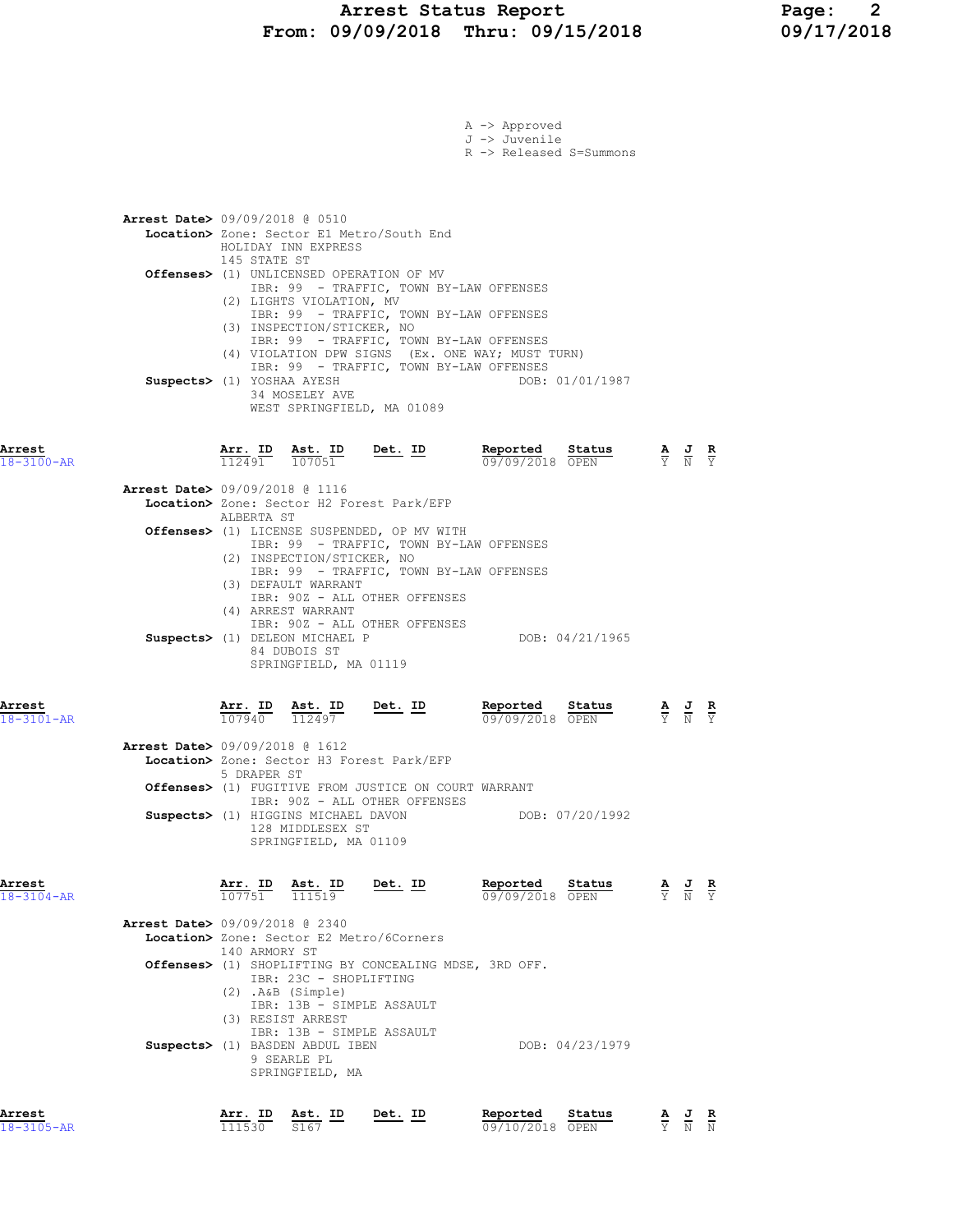## Arrest Status Report Page: 2 From: 09/09/2018 Thru: 09/15/2018 09/17/2018

|                            |                              |                                                                                                                                                                                                                                        |                                                                                                                                                                                | A -> Approved<br>J -> Juvenile<br>R -> Released S=Summons |                 |                                                                                                 |  |
|----------------------------|------------------------------|----------------------------------------------------------------------------------------------------------------------------------------------------------------------------------------------------------------------------------------|--------------------------------------------------------------------------------------------------------------------------------------------------------------------------------|-----------------------------------------------------------|-----------------|-------------------------------------------------------------------------------------------------|--|
|                            | 145 STATE ST                 | <b>Arrest Date&gt;</b> 09/09/2018 @ 0510<br>HOLIDAY INN EXPRESS<br>(2) LIGHTS VIOLATION, MV                                                                                                                                            | Location> Zone: Sector E1 Metro/South End<br>Offenses> (1) UNLICENSED OPERATION OF MV<br>IBR: 99 - TRAFFIC, TOWN BY-LAW OFFENSES<br>IBR: 99 - TRAFFIC, TOWN BY-LAW OFFENSES    |                                                           |                 |                                                                                                 |  |
|                            | Suspects> (1) YOSHAA AYESH   | (3) INSPECTION/STICKER, NO<br>34 MOSELEY AVE                                                                                                                                                                                           | IBR: 99 - TRAFFIC, TOWN BY-LAW OFFENSES<br>IBR: 99 - TRAFFIC, TOWN BY-LAW OFFENSES<br>WEST SPRINGFIELD, MA 01089                                                               | (4) VIOLATION DPW SIGNS (Ex. ONE WAY; MUST TURN)          | DOB: 01/01/1987 |                                                                                                 |  |
| Arrest<br>$18 - 3100 - AR$ |                              |                                                                                                                                                                                                                                        | $\frac{\texttt{Arr. ID}}{112491}$ $\frac{\texttt{ Ast. ID}}{107051}$ Det. ID                                                                                                   | Reported Status<br>09/09/2018 OPEN                        |                 | $\frac{\mathbf{A}}{\mathbf{Y}}$ $\frac{\mathbf{J}}{\mathbf{N}}$ $\frac{\mathbf{R}}{\mathbf{Y}}$ |  |
|                            | ALBERTA ST                   | Arrest Date> 09/09/2018 @ 1116<br>(2) INSPECTION/STICKER, NO                                                                                                                                                                           | Location> Zone: Sector H2 Forest Park/EFP<br>Offenses> (1) LICENSE SUSPENDED, OP MV WITH<br>IBR: 99 - TRAFFIC, TOWN BY-LAW OFFENSES<br>IBR: 99 - TRAFFIC, TOWN BY-LAW OFFENSES |                                                           |                 |                                                                                                 |  |
|                            |                              | (3) DEFAULT WARRANT<br>(4) ARREST WARRANT<br>Suspects> (1) DELEON MICHAEL P<br>84 DUBOIS ST<br>SPRINGFIELD, MA 01119                                                                                                                   | IBR: 90Z - ALL OTHER OFFENSES<br>IBR: 90Z - ALL OTHER OFFENSES                                                                                                                 |                                                           | DOB: 04/21/1965 |                                                                                                 |  |
| Arrest<br>$18 - 3101 - AR$ |                              | $\frac{\texttt{Arr.}}{107940}$ $\frac{\texttt{ Ast.}}{112497}$<br>Ast. ID Det. ID                                                                                                                                                      |                                                                                                                                                                                | Reported Status<br>09/09/2018 OPEN                        |                 | $\frac{\mathbf{A}}{\mathbf{Y}}$ $\frac{\mathbf{J}}{\mathbf{N}}$ $\frac{\mathbf{R}}{\mathbf{Y}}$ |  |
|                            | 5 DRAPER ST                  | <b>Arrest Date&gt; 09/09/2018 @ 1612</b><br>Suspects> (1) HIGGINS MICHAEL DAVON<br>128 MIDDLESEX ST<br>SPRINGFIELD, MA 01109                                                                                                           | Location> Zone: Sector H3 Forest Park/EFP<br>Offenses> (1) FUGITIVE FROM JUSTICE ON COURT WARRANT<br>IBR: 90Z - ALL OTHER OFFENSES                                             |                                                           | DOB: 07/20/1992 |                                                                                                 |  |
| Arrest<br>$18 - 3104 - AR$ | $\frac{\text{Arr.}}{107751}$ | $\frac{\text{Ast.}}{111519}$                                                                                                                                                                                                           | Det. ID                                                                                                                                                                        | Reported<br>09/09/2018 OPEN                               | Status          | $\frac{\mathbf{A}}{\mathbf{Y}}$ $\frac{\mathbf{J}}{\mathbf{N}}$ $\frac{\mathbf{R}}{\mathbf{Y}}$ |  |
|                            | 140 ARMORY ST                | Arrest Date> 09/09/2018 @ 2340<br>IBR: 23C - SHOPLIFTING<br>$(2)$ . A&B $(Simple)$<br>IBR: 13B - SIMPLE ASSAULT<br>(3) RESIST ARREST<br>IBR: 13B - SIMPLE ASSAULT<br>Suspects> (1) BASDEN ABDUL IBEN<br>9 SEARLE PL<br>SPRINGFIELD, MA | Location> Zone: Sector E2 Metro/6Corners<br>Offenses> (1) SHOPLIFTING BY CONCEALING MDSE, 3RD OFF.                                                                             |                                                           | DOB: 04/23/1979 |                                                                                                 |  |
| Arrest                     |                              | Arr. ID Ast. ID                                                                                                                                                                                                                        | Det. ID                                                                                                                                                                        | Reported                                                  | Status          | A J R                                                                                           |  |

18-3105-AR 111530 S167 09/10/2018 OPEN Y N N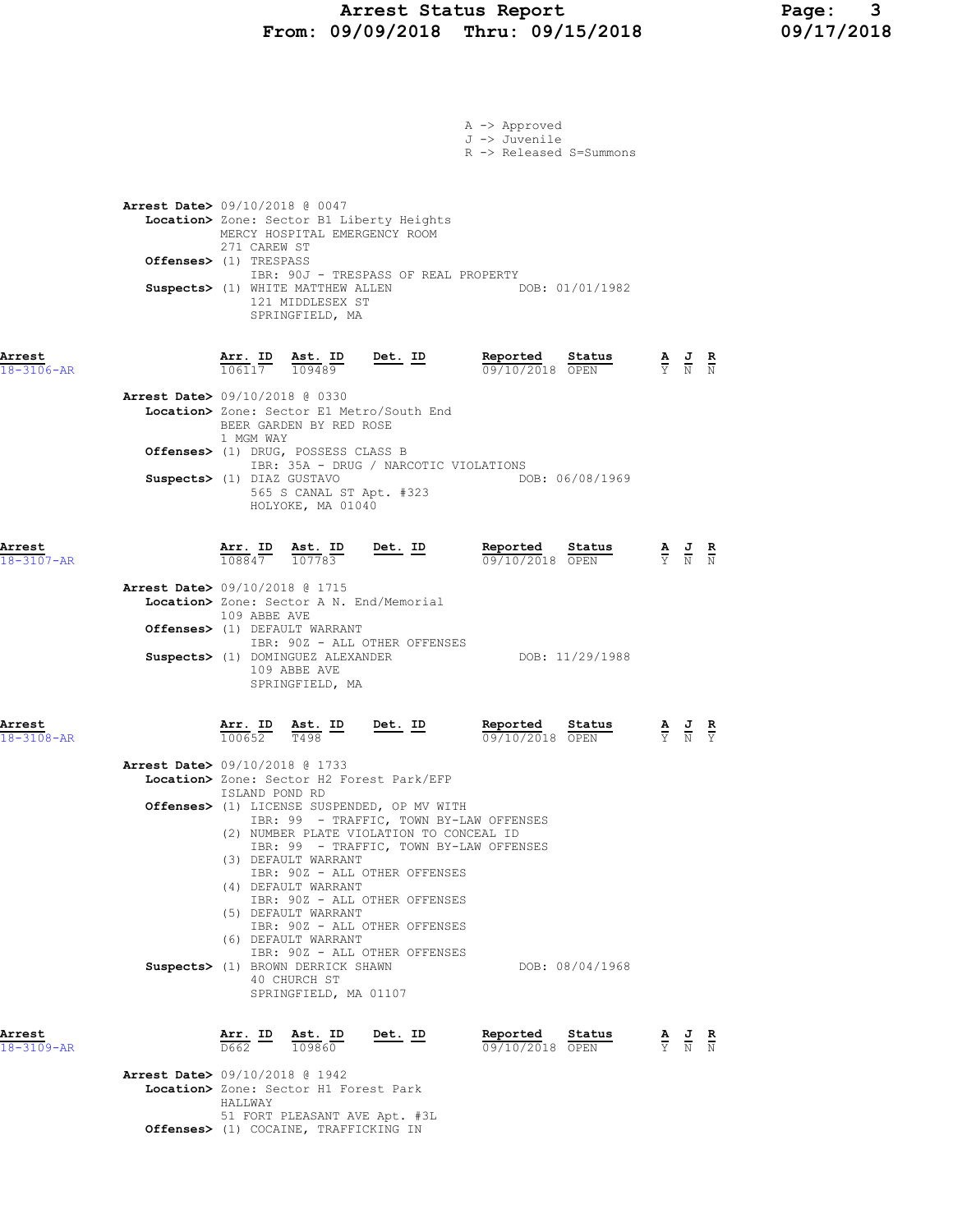# Arrest Status Report Page: 3<br>19/09/2018 Thru: 09/15/2018 09/17/2018 From: 09/09/2018 Thru: 09/15/2018

|                            | Offenses> (1) TRESPASS                                       |                                              | Suspects> (1) WHITE MATTHEW ALLEN<br>121 MIDDLESEX ST<br>SPRINGFIELD, MA                                                                         | IBR: 90J - TRESPASS OF REAL PROPERTY                                                                                                                                                                                                                                                       | DOB: 01/01/1982                                                                                                                                |                                                                                                 |  |
|----------------------------|--------------------------------------------------------------|----------------------------------------------|--------------------------------------------------------------------------------------------------------------------------------------------------|--------------------------------------------------------------------------------------------------------------------------------------------------------------------------------------------------------------------------------------------------------------------------------------------|------------------------------------------------------------------------------------------------------------------------------------------------|-------------------------------------------------------------------------------------------------|--|
| Arrest<br>18-3106-AR       | Arrest Date> 09/10/2018 @ 0330<br>Suspects> (1) DIAZ GUSTAVO | $\frac{\texttt{Arr.}}{106117}$<br>1 MGM WAY  | <u>Ast. ID</u><br>109489<br>BEER GARDEN BY RED ROSE<br>Offenses> (1) DRUG, POSSESS CLASS B<br>565 S CANAL ST Apt. #323<br>HOLYOKE, MA 01040      | <u>Det. ID</u><br>Location> Zone: Sector E1 Metro/South End<br>IBR: 35A - DRUG / NARCOTIC VIOLATIONS                                                                                                                                                                                       | Reported<br>Status<br>09/10/2018 OPEN<br>DOB: 06/08/1969                                                                                       | $\frac{\mathbf{A}}{\mathbf{Y}}$ $\frac{\mathbf{J}}{\mathbf{N}}$ $\frac{\mathbf{R}}{\mathbf{N}}$ |  |
| Arrest<br>$18 - 3107 - AR$ | Arrest Date> 09/10/2018 @ 1715                               | 108847 107783<br>109 ABBE AVE                | Arr. ID Ast. ID<br>Offenses> (1) DEFAULT WARRANT<br>Suspects> (1) DOMINGUEZ ALEXANDER<br>109 ABBE AVE<br>SPRINGFIELD, MA                         | Det. ID<br>Location> Zone: Sector A N. End/Memorial<br>IBR: 90Z - ALL OTHER OFFENSES                                                                                                                                                                                                       | Reported Status<br>09/10/2018 OPEN<br>DOB: 11/29/1988                                                                                          | $\frac{\mathbf{A}}{\mathbf{Y}}$ $\frac{\mathbf{J}}{\mathbf{N}}$ $\frac{\mathbf{R}}{\mathbf{N}}$ |  |
| Arrest<br>$18 - 3108 - AR$ | Arrest Date> 09/10/2018 @ 1733                               | Arr. ID<br>100652<br>ISLAND POND RD          | Ast. ID<br>T498<br>(3) DEFAULT WARRANT<br>(4) DEFAULT WARRANT<br>(5) DEFAULT WARRANT<br>(6) DEFAULT WARRANT<br>Suspects> (1) BROWN DERRICK SHAWN | <u>Det. ID</u><br>Location> Zone: Sector H2 Forest Park/EFP<br>Offenses> (1) LICENSE SUSPENDED, OP MV WITH<br>(2) NUMBER PLATE VIOLATION TO CONCEAL ID<br>IBR: 90Z - ALL OTHER OFFENSES<br>IBR: 90Z - ALL OTHER OFFENSES<br>IBR: 90Z - ALL OTHER OFFENSES<br>IBR: 90Z - ALL OTHER OFFENSES | Reported<br>Status<br>09/10/2018 OPEN<br>IBR: 99 - TRAFFIC, TOWN BY-LAW OFFENSES<br>IBR: 99 - TRAFFIC, TOWN BY-LAW OFFENSES<br>DOB: 08/04/1968 | $\frac{\mathbf{A}}{\mathbf{Y}}$ $\frac{\mathbf{J}}{\mathbf{N}}$ $\frac{\mathbf{R}}{\mathbf{Y}}$ |  |
| Arrest<br>18-3109-AR       | <b>Arrest Date&gt;</b> 09/10/2018 @ 1942                     | $\frac{\text{Arr.}}{\text{D662}}$ ID<br>D662 | 40 CHURCH ST<br>SPRINGFIELD, MA 01107<br>Ast. ID<br>109860                                                                                       | <u>Det. ID</u>                                                                                                                                                                                                                                                                             | Reported<br>Status<br>09/10/2018 OPEN                                                                                                          | $\frac{\mathbf{A}}{\mathbf{Y}}$ $\frac{\mathbf{J}}{\mathbf{N}}$ $\frac{\mathbf{R}}{\mathbf{N}}$ |  |
|                            |                                                              | HALLWAY                                      | Location> Zone: Sector H1 Forest Park                                                                                                            |                                                                                                                                                                                                                                                                                            |                                                                                                                                                |                                                                                                 |  |

51 FORT PLEASANT AVE Apt. #3L

Offenses> (1) COCAINE, TRAFFICKING IN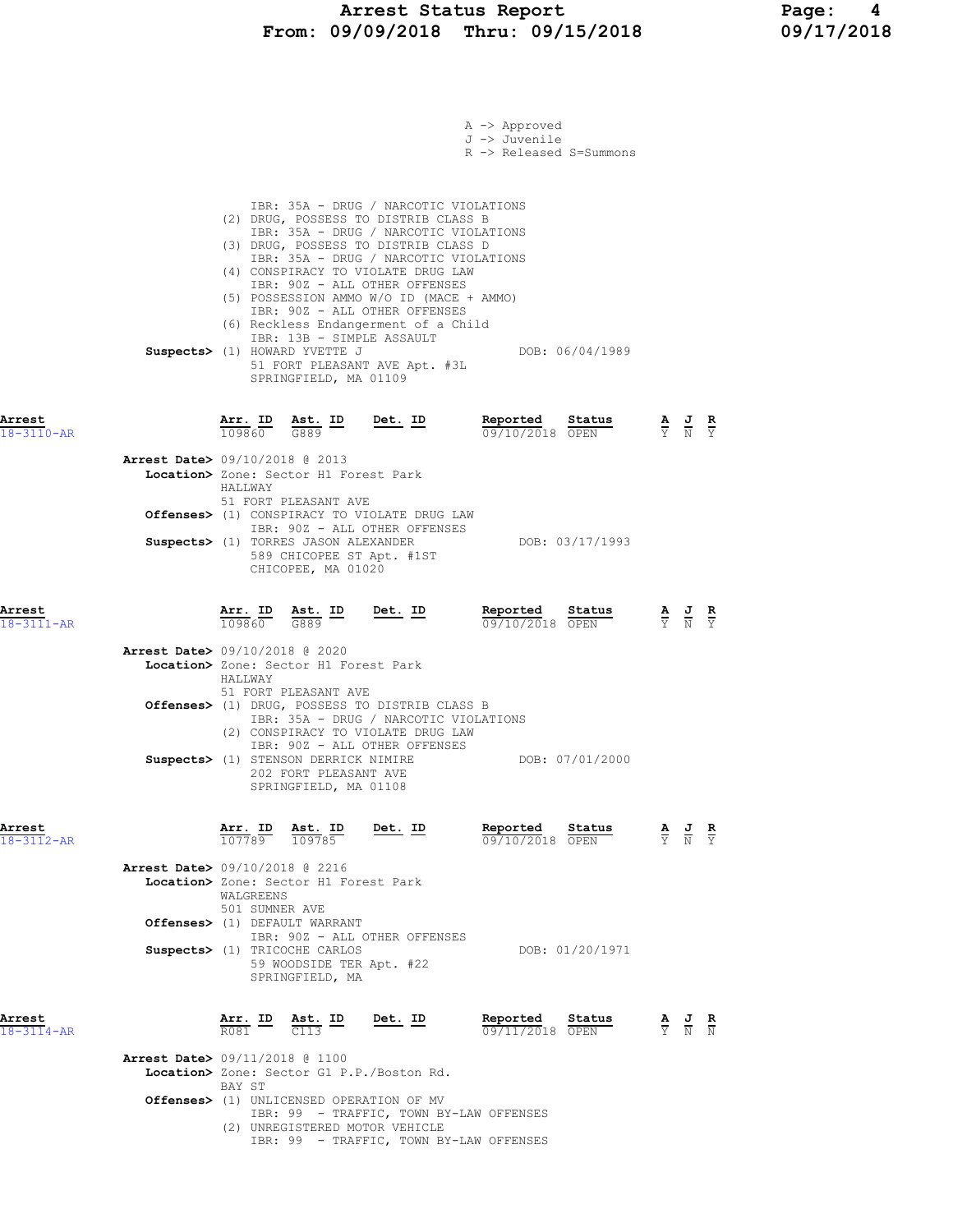|                            |                                                                                                                                                                                                                                                                                                                                                                                                                                                                                                                             | A -> Approved<br>J -> Juvenile<br>R -> Released S=Summons |                                                                                                       |               |
|----------------------------|-----------------------------------------------------------------------------------------------------------------------------------------------------------------------------------------------------------------------------------------------------------------------------------------------------------------------------------------------------------------------------------------------------------------------------------------------------------------------------------------------------------------------------|-----------------------------------------------------------|-------------------------------------------------------------------------------------------------------|---------------|
|                            | IBR: 35A - DRUG / NARCOTIC VIOLATIONS<br>(2) DRUG, POSSESS TO DISTRIB CLASS B<br>IBR: 35A - DRUG / NARCOTIC VIOLATIONS<br>(3) DRUG, POSSESS TO DISTRIB CLASS D<br>IBR: 35A - DRUG / NARCOTIC VIOLATIONS<br>(4) CONSPIRACY TO VIOLATE DRUG LAW<br>IBR: 90Z - ALL OTHER OFFENSES<br>(5) POSSESSION AMMO W/O ID (MACE + AMMO)<br>IBR: 90Z - ALL OTHER OFFENSES<br>(6) Reckless Endangerment of a Child<br>IBR: 13B - SIMPLE ASSAULT<br>Suspects> (1) HOWARD YVETTE J<br>51 FORT PLEASANT AVE Apt. #3L<br>SPRINGFIELD, MA 01109 | DOB: 06/04/1989                                           |                                                                                                       |               |
| Arrest<br>18-3110-AR       | Arr. ID<br>Ast. ID<br>Det. ID<br>109860<br>G889                                                                                                                                                                                                                                                                                                                                                                                                                                                                             | Reported<br>Status<br>09/10/2018 OPEN                     | $\frac{\mathbf{A}}{\overline{Y}}$ $\frac{\mathbf{J}}{\overline{N}}$ $\frac{\mathbf{R}}{\overline{Y}}$ |               |
|                            | Arrest Date> 09/10/2018 @ 2013<br>Location> Zone: Sector H1 Forest Park<br>HALLMAY<br>51 FORT PLEASANT AVE                                                                                                                                                                                                                                                                                                                                                                                                                  |                                                           |                                                                                                       |               |
|                            | Offenses> (1) CONSPIRACY TO VIOLATE DRUG LAW<br>IBR: 90Z - ALL OTHER OFFENSES                                                                                                                                                                                                                                                                                                                                                                                                                                               |                                                           |                                                                                                       |               |
|                            | Suspects> (1) TORRES JASON ALEXANDER<br>589 CHICOPEE ST Apt. #1ST<br>CHICOPEE, MA 01020                                                                                                                                                                                                                                                                                                                                                                                                                                     | DOB: 03/17/1993                                           |                                                                                                       |               |
| Arrest<br>$18 - 3111 - AR$ | Arr. ID<br>$rac{\text{Ast.}}{G889}$ ID<br>$Det. ID$<br>109860                                                                                                                                                                                                                                                                                                                                                                                                                                                               | Reported<br>Status<br>09/10/2018 OPEN                     | $\frac{\mathbf{A}}{\mathbf{Y}}$ $\frac{\mathbf{J}}{\mathbf{N}}$ $\frac{\mathbf{R}}{\mathbf{Y}}$       |               |
|                            | <b>Arrest Date&gt; 09/10/2018 @ 2020</b><br>Location> Zone: Sector H1 Forest Park<br>HALLWAY<br>51 FORT PLEASANT AVE<br>Offenses> (1) DRUG, POSSESS TO DISTRIB CLASS B<br>IBR: 35A - DRUG / NARCOTIC VIOLATIONS<br>(2) CONSPIRACY TO VIOLATE DRUG LAW<br>IBR: 90Z - ALL OTHER OFFENSES<br>Suspects> (1) STENSON DERRICK NIMIRE                                                                                                                                                                                              | DOB: 07/01/2000                                           |                                                                                                       |               |
|                            | 202 FORT PLEASANT AVE<br>SPRINGFIELD, MA 01108                                                                                                                                                                                                                                                                                                                                                                                                                                                                              |                                                           |                                                                                                       |               |
| Arrest<br>18-3112-AR       | <b>Arr. ID Ast. ID</b><br>$\frac{107789}{109785}$<br><u>Det. ID</u><br>Ast. ID                                                                                                                                                                                                                                                                                                                                                                                                                                              | Reported<br>Status<br>09/10/2018 OPEN                     | $\frac{A}{Y}$ $\frac{J}{N}$                                                                           | $\frac{R}{Y}$ |
|                            | <b>Arrest Date&gt; 09/10/2018 @ 2216</b><br>Location> Zone: Sector H1 Forest Park<br>WALGREENS<br>501 SUMNER AVE                                                                                                                                                                                                                                                                                                                                                                                                            |                                                           |                                                                                                       |               |
|                            | Offenses> (1) DEFAULT WARRANT<br>IBR: 90Z - ALL OTHER OFFENSES<br>Suspects> (1) TRICOCHE CARLOS<br>59 WOODSIDE TER Apt. #22<br>SPRINGFIELD, MA                                                                                                                                                                                                                                                                                                                                                                              | DOB: 01/20/1971                                           |                                                                                                       |               |
| Arrest<br>18-3114-AR       | Arr. ID Ast. ID Det. ID<br>$\frac{1}{10001}$ $\frac{1}{1000}$ $\frac{1}{1000}$<br><b>Arrest Date&gt;</b> 09/11/2018 @ 1100                                                                                                                                                                                                                                                                                                                                                                                                  | Reported Status<br>09/11/2018 OPEN                        | $\frac{\mathbf{A}}{\mathbf{Y}}$ $\frac{\mathbf{J}}{\mathbf{N}}$ $\frac{\mathbf{R}}{\mathbf{N}}$       |               |
|                            | Location> Zone: Sector G1 P.P./Boston Rd.<br>BAY ST                                                                                                                                                                                                                                                                                                                                                                                                                                                                         |                                                           |                                                                                                       |               |
|                            | <b>Offenses&gt;</b> (1) UNLICENSED OPERATION OF MV<br>IBR: 99 - TRAFFIC, TOWN BY-LAW OFFENSES<br>(2) UNREGISTERED MOTOR VEHICLE<br>IBR: 99 - TRAFFIC, TOWN BY-LAW OFFENSES                                                                                                                                                                                                                                                                                                                                                  |                                                           |                                                                                                       |               |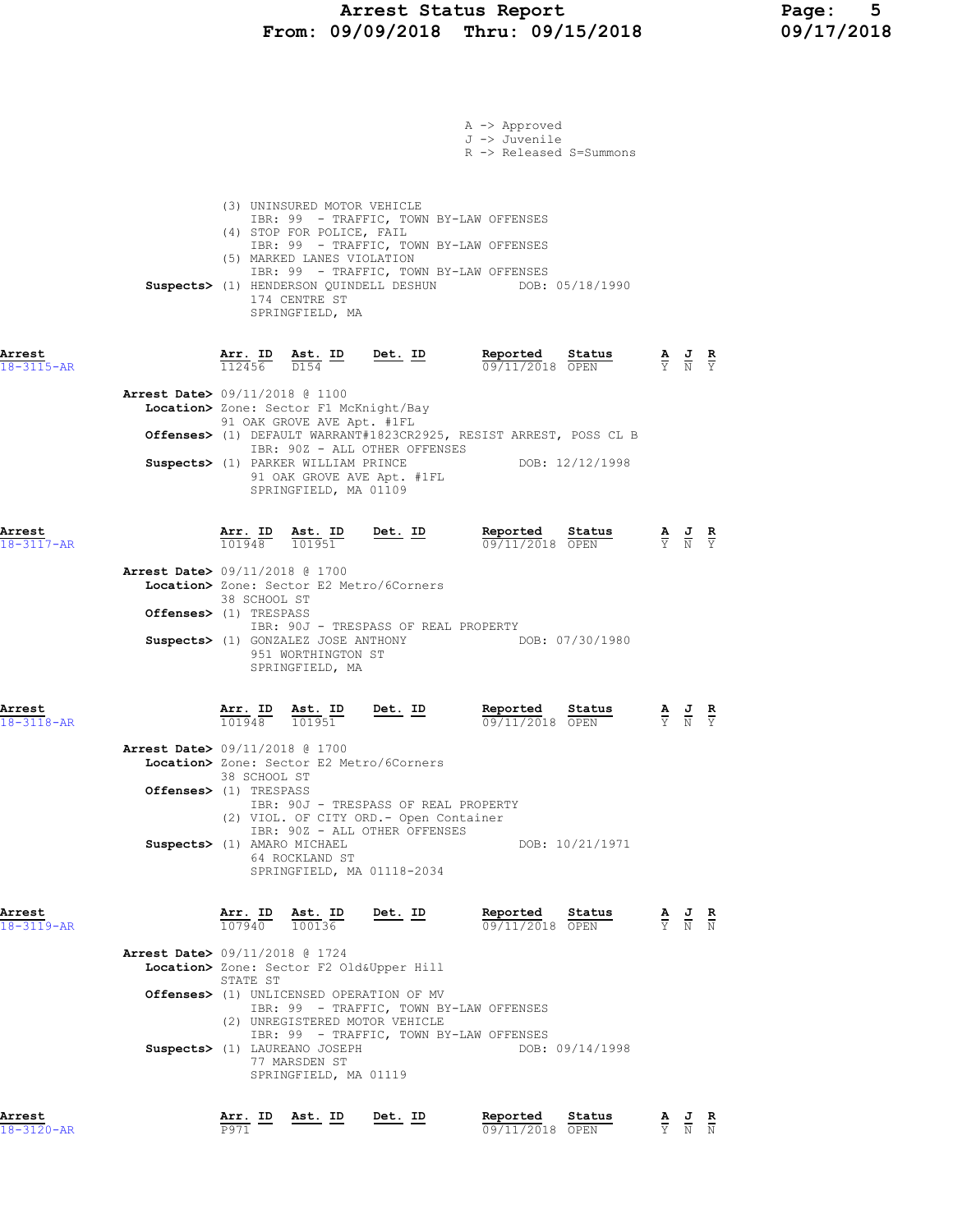### Arrest Status Report Page: 5 From: 09/09/2018 Thru: 09/15/2018 09/17/2018

| Arrest<br>18-3120-AR       |                                                                    | Arr. ID<br>P971        | Ast. ID                                                                                                                    | Det. ID                                                                                                                                                           | Reported<br>Status<br>09/11/2018 OPEN                                                                                                         |                                                                                                 | $\frac{\mathbf{A}}{\mathbf{Y}}$ $\frac{\mathbf{J}}{\mathbf{N}}$ $\frac{\mathbf{R}}{\mathbf{N}}$ |  |
|----------------------------|--------------------------------------------------------------------|------------------------|----------------------------------------------------------------------------------------------------------------------------|-------------------------------------------------------------------------------------------------------------------------------------------------------------------|-----------------------------------------------------------------------------------------------------------------------------------------------|-------------------------------------------------------------------------------------------------|-------------------------------------------------------------------------------------------------|--|
|                            | Arrest Date> 09/11/2018 @ 1724                                     | STATE ST               | Suspects> (1) LAUREANO JOSEPH<br>77 MARSDEN ST<br>SPRINGFIELD, MA 01119                                                    | Location> Zone: Sector F2 Old&Upper Hill<br>Offenses> (1) UNLICENSED OPERATION OF MV<br>IBR: 99 - TRAFFIC, TOWN BY-LAW OFFENSES<br>(2) UNREGISTERED MOTOR VEHICLE | IBR: 99 - TRAFFIC, TOWN BY-LAW OFFENSES<br>DOB: 09/14/1998                                                                                    |                                                                                                 |                                                                                                 |  |
| Arrest<br>$18 - 3119 - AR$ |                                                                    |                        |                                                                                                                            | $\frac{\texttt{Arr.}}{107940}$ $\frac{\texttt{ Ast.}}{100136}$ Det. ID                                                                                            | Reported<br>Status<br>09/11/2018 OPEN                                                                                                         | $\frac{\mathbf{A}}{\mathbf{Y}}$ $\frac{\mathbf{J}}{\mathbf{N}}$ $\frac{\mathbf{R}}{\mathbf{N}}$ |                                                                                                 |  |
|                            | Suspects> (1) AMARO MICHAEL                                        |                        | 64 ROCKLAND ST                                                                                                             | IBR: 90J - TRESPASS OF REAL PROPERTY<br>(2) VIOL. OF CITY ORD. - Open Container<br>IBR: 90Z - ALL OTHER OFFENSES<br>SPRINGFIELD, MA 01118-2034                    | DOB: 10/21/1971                                                                                                                               |                                                                                                 |                                                                                                 |  |
| $18 - 3118 - AR$           | <b>Arrest Date&gt;</b> 09/11/2018 @ 1700<br>Offenses> (1) TRESPASS | 101948<br>38 SCHOOL ST | 101951                                                                                                                     | Location> Zone: Sector E2 Metro/6Corners                                                                                                                          | $09/11/2018$ OPEN                                                                                                                             |                                                                                                 |                                                                                                 |  |
| Arrest                     | <b>Arrest Date&gt;</b> 09/11/2018 @ 1700<br>Offenses> (1) TRESPASS | 38 SCHOOL ST           | 951 WORTHINGTON ST<br>SPRINGFIELD, MA                                                                                      | Location> Zone: Sector E2 Metro/6Corners<br>IBR: 90J - TRESPASS OF REAL PROPERTY<br>Arr. ID Ast. ID Det. ID                                                       | Suspects> (1) GONZALEZ JOSE ANTHONY DOB: 07/30/1980<br>Reported<br>$\frac{\text{Status}}{\text{start}}$                                       |                                                                                                 | $\frac{\mathbf{A}}{\mathbf{Y}}$ $\frac{\mathbf{J}}{\mathbf{N}}$ $\frac{\mathbf{R}}{\mathbf{Y}}$ |  |
| Arrest<br>18-3117-AR       |                                                                    |                        |                                                                                                                            | $\frac{\texttt{Arr. ID}}{101948}$ $\frac{\texttt{ Ast. ID}}{101951}$ Det. ID                                                                                      | <b>Reported Status A J R</b><br>09/11/2018 OPEN $\frac{1}{Y}$ N Y                                                                             |                                                                                                 |                                                                                                 |  |
|                            | <b>Arrest Date&gt;</b> 09/11/2018 @ 1100                           |                        | Location> Zone: Sector F1 McKnight/Bay<br>91 OAK GROVE AVE Apt. #1FL<br>SPRINGFIELD, MA 01109                              | IBR: 90Z - ALL OTHER OFFENSES<br>Suspects> (1) PARKER WILLIAM PRINCE<br>91 OAK GROVE AVE Apt. #1FL                                                                | Offenses> (1) DEFAULT WARRANT#1823CR2925, RESIST ARREST, POSS CL B<br>DOB: 12/12/1998                                                         |                                                                                                 |                                                                                                 |  |
| Arrest<br>18-3115-AR       |                                                                    | $\frac{1}{112456}$     |                                                                                                                            | $\frac{\texttt{Ast.}}{D154}$ ID Det. ID                                                                                                                           | Reported<br><b>Status A J R</b><br>OPEN Y N Y<br>09/11/2018 OPEN                                                                              |                                                                                                 |                                                                                                 |  |
|                            |                                                                    |                        | (3) UNINSURED MOTOR VEHICLE<br>(4) STOP FOR POLICE, FAIL<br>(5) MARKED LANES VIOLATION<br>174 CENTRE ST<br>SPRINGFIELD, MA | IBR: 99 - TRAFFIC, TOWN BY-LAW OFFENSES                                                                                                                           | IBR: 99 - TRAFFIC, TOWN BY-LAW OFFENSES<br>IBR: 99 - TRAFFIC, TOWN BY-LAW OFFENSES<br>Suspects> (1) HENDERSON QUINDELL DESHUN DOB: 05/18/1990 |                                                                                                 |                                                                                                 |  |
|                            |                                                                    |                        |                                                                                                                            |                                                                                                                                                                   | A -> Approved<br>J -> Juvenile<br>R -> Released S=Summons                                                                                     |                                                                                                 |                                                                                                 |  |
|                            |                                                                    |                        |                                                                                                                            |                                                                                                                                                                   |                                                                                                                                               |                                                                                                 |                                                                                                 |  |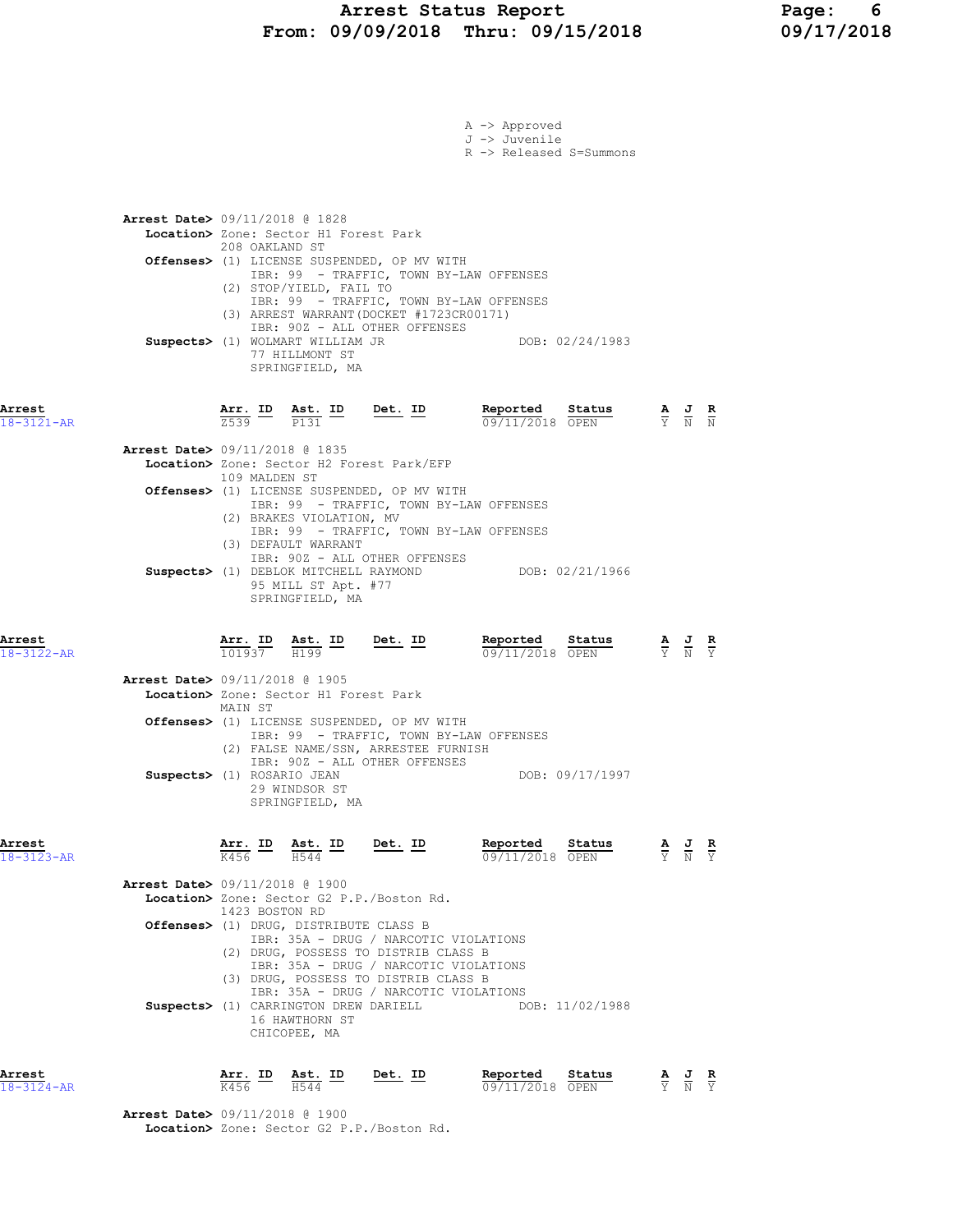|                            |                                          |                 |                                                                                      |                                                                                                                      | A -> Approved<br>J -> Juvenile<br>R -> Released S=Summons                                         |                                                                                                 |               |
|----------------------------|------------------------------------------|-----------------|--------------------------------------------------------------------------------------|----------------------------------------------------------------------------------------------------------------------|---------------------------------------------------------------------------------------------------|-------------------------------------------------------------------------------------------------|---------------|
|                            | <b>Arrest Date&gt;</b> 09/11/2018 @ 1828 | 208 OAKLAND ST  | Location> Zone: Sector H1 Forest Park<br>(2) STOP/YIELD, FAIL TO                     | Offenses> (1) LICENSE SUSPENDED, OP MV WITH                                                                          | IBR: 99 - TRAFFIC, TOWN BY-LAW OFFENSES<br>IBR: 99 - TRAFFIC, TOWN BY-LAW OFFENSES                |                                                                                                 |               |
|                            |                                          |                 | Suspects> (1) WOLMART WILLIAM JR<br>77 HILLMONT ST<br>SPRINGFIELD, MA                | (3) ARREST WARRANT (DOCKET #1723CR00171)<br>IBR: 90Z - ALL OTHER OFFENSES                                            | DOB: 02/24/1983                                                                                   |                                                                                                 |               |
| Arrest<br>18-3121-AR       |                                          |                 | $\frac{\texttt{Arr.}}{2539}$ $\frac{\texttt{ID}}{P131}$ $\frac{\texttt{lab}}{P131}$  | $Det. ID$                                                                                                            | Reported<br>Status<br>09/11/2018 OPEN                                                             | $\frac{\mathbf{A}}{\mathbf{Y}}$ $\frac{\mathbf{J}}{\mathbf{N}}$ $\frac{\mathbf{R}}{\mathbf{N}}$ |               |
|                            | <b>Arrest Date&gt; 09/11/2018 @ 1835</b> | 109 MALDEN ST   | (2) BRAKES VIOLATION, MV<br>(3) DEFAULT WARRANT                                      | Location> Zone: Sector H2 Forest Park/EFP<br>Offenses> (1) LICENSE SUSPENDED, OP MV WITH                             | IBR: 99 - TRAFFIC, TOWN BY-LAW OFFENSES<br>IBR: 99 - TRAFFIC, TOWN BY-LAW OFFENSES                |                                                                                                 |               |
|                            |                                          |                 | 95 MILL ST Apt. #77<br>SPRINGFIELD, MA                                               | IBR: 90Z - ALL OTHER OFFENSES<br>Suspects> (1) DEBLOK MITCHELL RAYMOND                                               | DOB: 02/21/1966                                                                                   |                                                                                                 |               |
| Arrest<br>$18 - 3122 - AR$ |                                          |                 | $\frac{\texttt{Arr.}}{101937}$ $\frac{\texttt{ Ast.}}{H199}$ $\frac{\texttt{ID}}{H}$ | <u>Det. ID</u>                                                                                                       | Reported<br>Status<br>09/11/2018 OPEN                                                             | $\frac{\mathbf{A}}{\mathbf{Y}}$ $\frac{\mathbf{J}}{\mathbf{N}}$ $\frac{\mathbf{R}}{\mathbf{Y}}$ |               |
|                            | Arrest Date> 09/11/2018 @ 1905           | MAIN ST         | Location> Zone: Sector H1 Forest Park                                                |                                                                                                                      |                                                                                                   |                                                                                                 |               |
|                            |                                          |                 |                                                                                      | Offenses> (1) LICENSE SUSPENDED, OP MV WITH<br>(2) FALSE NAME/SSN, ARRESTEE FURNISH<br>IBR: 90Z - ALL OTHER OFFENSES | IBR: 99 - TRAFFIC, TOWN BY-LAW OFFENSES<br>DOB: 09/17/1997                                        |                                                                                                 |               |
|                            | Suspects> (1) ROSARIO JEAN               |                 | 29 WINDSOR ST<br>SPRINGFIELD, MA                                                     |                                                                                                                      |                                                                                                   |                                                                                                 |               |
| Arrest<br>$18 - 3123 - AR$ |                                          | Arr. ID<br>K456 | Ast. ID<br>H544                                                                      | Det. ID                                                                                                              | Reported<br>Status<br>09/11/2018 OPEN                                                             | $\frac{\mathbf{A}}{\mathbf{Y}}$ $\frac{\mathbf{J}}{\mathbf{N}}$ $\frac{\mathbf{R}}{\mathbf{Y}}$ |               |
|                            | <b>Arrest Date&gt;</b> 09/11/2018 @ 1900 |                 |                                                                                      | Location> Zone: Sector G2 P.P./Boston Rd.                                                                            |                                                                                                   |                                                                                                 |               |
|                            |                                          | 1423 BOSTON RD  | Offenses> (1) DRUG, DISTRIBUTE CLASS B                                               | (2) DRUG, POSSESS TO DISTRIB CLASS B                                                                                 | IBR: 35A - DRUG / NARCOTIC VIOLATIONS                                                             |                                                                                                 |               |
|                            |                                          |                 | Suspects> (1) CARRINGTON DREW DARIELL<br>16 HAWTHORN ST<br>CHICOPEE, MA              | (3) DRUG, POSSESS TO DISTRIB CLASS B                                                                                 | IBR: 35A - DRUG / NARCOTIC VIOLATIONS<br>IBR: 35A - DRUG / NARCOTIC VIOLATIONS<br>DOB: 11/02/1988 |                                                                                                 |               |
| Arrest<br>18-3124-AR       |                                          | Arr. ID<br>K456 | Ast. ID<br>H544                                                                      | Det. ID                                                                                                              | Reported<br>Status<br>09/11/2018 OPEN                                                             | $\frac{\mathbf{A}}{\mathbf{Y}}$ $\frac{\mathbf{J}}{\mathbf{N}}$                                 | $\frac{R}{Y}$ |

 Arrest Date> 09/11/2018 @ 1900 Location> Zone: Sector G2 P.P./Boston Rd.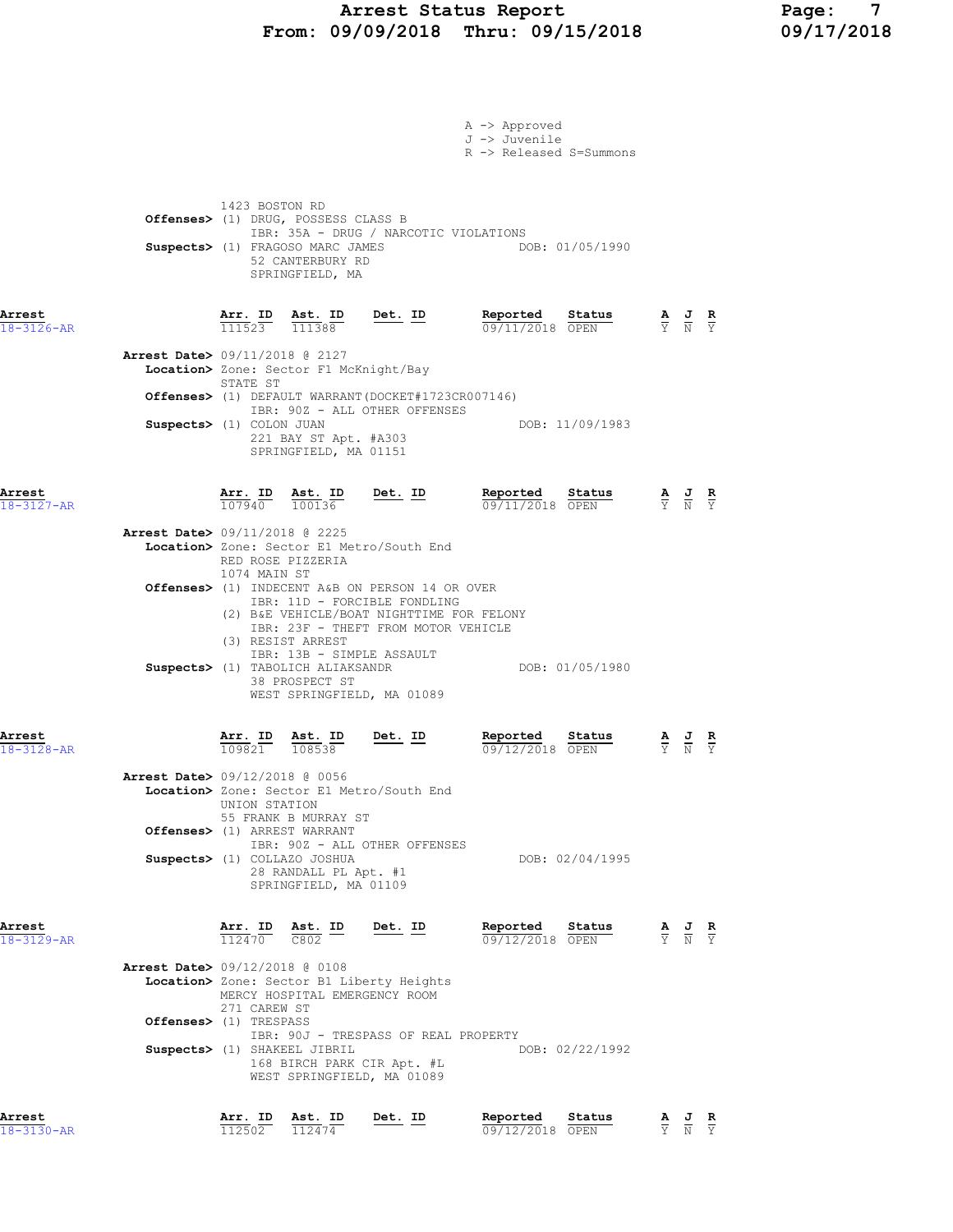## Arrest Status Report Page: 7 From: 09/09/2018 Thru: 09/15/2018 09/17/2018

|                            |                                                          |                                        |                                                                                                                       |                                                                                                                                                                                                  | A -> Approved<br>J -> Juvenile<br>R -> Released S=Summons |                               |                                                                                                 |  |
|----------------------------|----------------------------------------------------------|----------------------------------------|-----------------------------------------------------------------------------------------------------------------------|--------------------------------------------------------------------------------------------------------------------------------------------------------------------------------------------------|-----------------------------------------------------------|-------------------------------|-------------------------------------------------------------------------------------------------|--|
|                            |                                                          | 1423 BOSTON RD                         | Offenses> (1) DRUG, POSSESS CLASS B<br>Suspects> (1) FRAGOSO MARC JAMES<br>52 CANTERBURY RD<br>SPRINGFIELD, MA        | IBR: 35A - DRUG / NARCOTIC VIOLATIONS                                                                                                                                                            | DOB: 01/05/1990                                           |                               |                                                                                                 |  |
| Arrest<br>$18 - 3126 - AR$ | <b>Arrest Date&gt; 09/11/2018 @ 2127</b>                 | STATE ST                               | $\frac{\texttt{Arr. ID}}{111523}$ $\frac{\texttt{ Ast. ID}}{111388}$<br>Location> Zone: Sector F1 McKnight/Bay        | Det. ID                                                                                                                                                                                          | Reported<br>Status<br>09/11/2018 OPEN                     |                               | $\frac{\mathbf{A}}{\mathbf{Y}}$ $\frac{\mathbf{J}}{\mathbf{N}}$ $\frac{\mathbf{R}}{\mathbf{Y}}$ |  |
|                            | Suspects> (1) COLON JUAN                                 |                                        | 221 BAY ST Apt. #A303<br>SPRINGFIELD, MA 01151                                                                        | Offenses> (1) DEFAULT WARRANT (DOCKET#1723CR007146)<br>IBR: 90Z - ALL OTHER OFFENSES                                                                                                             | DOB: 11/09/1983                                           |                               |                                                                                                 |  |
| Arrest<br>$18 - 3127 - AR$ | <b>Arrest Date&gt;</b> 09/11/2018 @ 2225                 |                                        | $\frac{\texttt{Arr.}}{107940}$ $\frac{\texttt{ Ast.}}{100136}$<br>RED ROSE PIZZERIA                                   | $Det. ID$<br>Location> Zone: Sector E1 Metro/South End                                                                                                                                           | Reported Status<br>09/11/2018 OPEN                        |                               | $\frac{\mathbf{A}}{\mathbf{Y}}$ $\frac{\mathbf{J}}{\mathbf{N}}$ $\frac{\mathbf{R}}{\mathbf{Y}}$ |  |
|                            |                                                          | 1074 MAIN ST                           | (3) RESIST ARREST                                                                                                     | Offenses> (1) INDECENT A&B ON PERSON 14 OR OVER<br>IBR: 11D - FORCIBLE FONDLING<br>(2) B&E VEHICLE/BOAT NIGHTTIME FOR FELONY<br>IBR: 23F - THEFT FROM MOTOR VEHICLE<br>IBR: 13B - SIMPLE ASSAULT |                                                           |                               |                                                                                                 |  |
| Arrest<br>18-3128-AR       |                                                          |                                        | Suspects> (1) TABOLICH ALIAKSANDR<br>38 PROSPECT ST<br>$\frac{\texttt{Arr.}}{109821}$ $\frac{\texttt{ Ast.}}{108538}$ | WEST SPRINGFIELD, MA 01089<br><u>Det. ID</u>                                                                                                                                                     | DOB: 01/05/1980<br>Reported<br>Status<br>09/12/2018 OPEN  |                               | $\frac{\mathbf{A}}{\mathbf{Y}}$ $\frac{\mathbf{J}}{\mathbf{N}}$ $\frac{\mathbf{R}}{\mathbf{Y}}$ |  |
|                            | <b>Arrest Date&gt; 09/12/2018 @ 0056</b>                 | UNION STATION                          | 55 FRANK B MURRAY ST<br>Offenses> (1) ARREST WARRANT                                                                  | Location> Zone: Sector E1 Metro/South End<br>IBR: 90Z - ALL OTHER OFFENSES                                                                                                                       |                                                           |                               |                                                                                                 |  |
| Arrest<br>$18 - 3129 - AR$ |                                                          | $\overline{112470}$ $\overline{0.802}$ | Suspects> (1) COLLAZO JOSHUA<br>28 RANDALL PL Apt. #1<br>SPRINGFIELD, MA 01109<br>Arr. ID Ast. ID                     | Det. ID                                                                                                                                                                                          | DOB: 02/04/1995<br>Reported<br>Status                     |                               | $\frac{\mathbf{A}}{\mathbf{Y}}$ $\frac{\mathbf{J}}{\mathbf{N}}$ $\frac{\mathbf{R}}{\mathbf{Y}}$ |  |
|                            | Arrest Date> 09/12/2018 @ 0108<br>Offenses> (1) TRESPASS | 271 CAREW ST                           | Suspects> (1) SHAKEEL JIBRIL                                                                                          | Location> Zone: Sector B1 Liberty Heights<br>MERCY HOSPITAL EMERGENCY ROOM<br>IBR: 90J - TRESPASS OF REAL PROPERTY<br>168 BIRCH PARK CIR Apt. #L<br>WEST SPRINGFIELD, MA 01089                   | 09/12/2018 OPEN<br>DOB: 02/22/1992                        |                               |                                                                                                 |  |
| Arrest<br>$18 - 3130 - AR$ |                                                          | Arr. ID<br>112502                      | Ast. ID<br>112474                                                                                                     | Det. ID                                                                                                                                                                                          | Reported<br>Status<br>09/12/2018 OPEN                     | $rac{\mathbf{A}}{\mathbf{Y}}$ | $\frac{J}{N}$ $\frac{R}{Y}$                                                                     |  |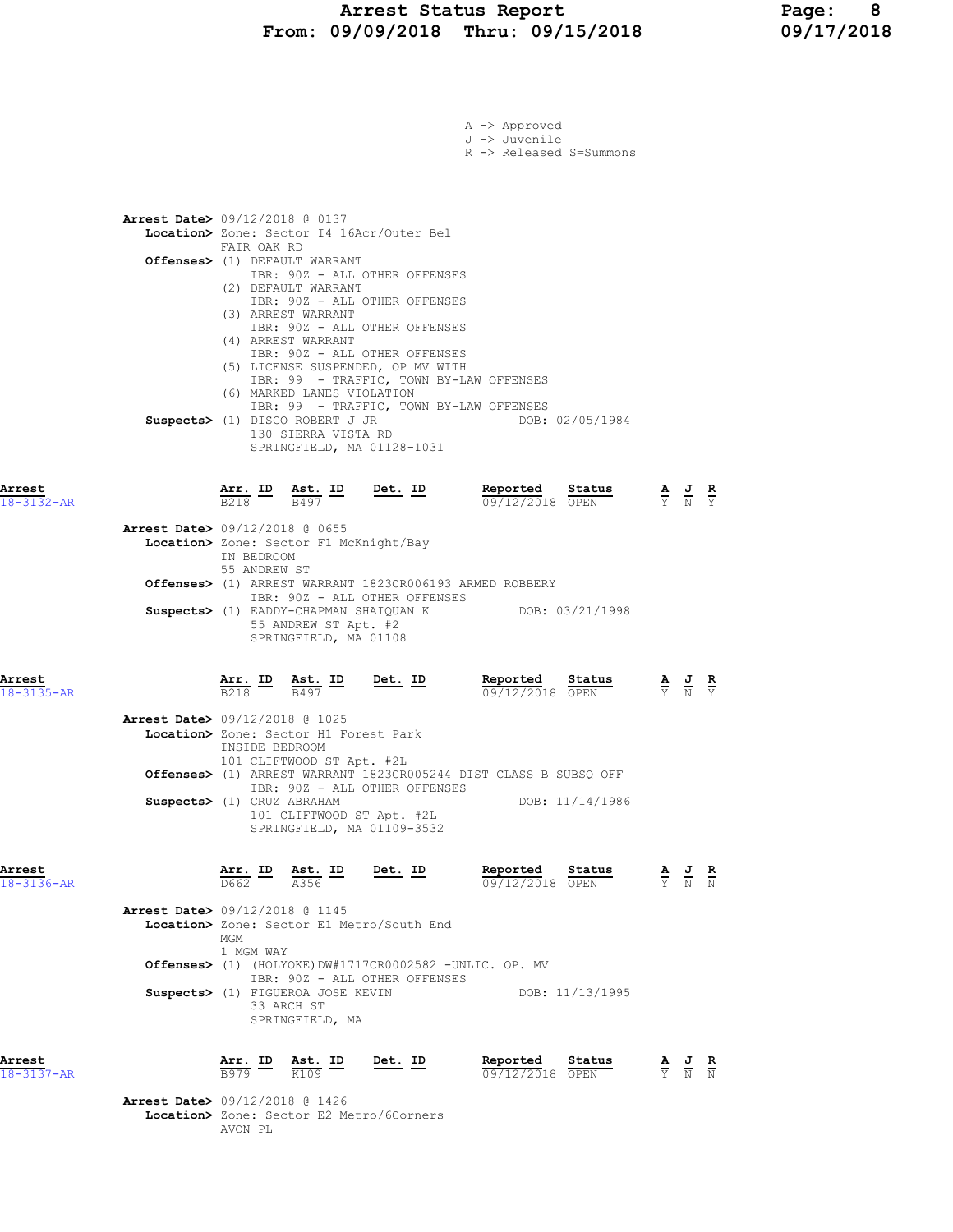|                      |                                          |                |                                                                                                                                   |                                                                                                                                                   | A -> Approved                                                     |                                                                                                 |  |
|----------------------|------------------------------------------|----------------|-----------------------------------------------------------------------------------------------------------------------------------|---------------------------------------------------------------------------------------------------------------------------------------------------|-------------------------------------------------------------------|-------------------------------------------------------------------------------------------------|--|
|                      |                                          |                |                                                                                                                                   |                                                                                                                                                   | J -> Juvenile<br>R -> Released S=Summons                          |                                                                                                 |  |
|                      |                                          |                |                                                                                                                                   |                                                                                                                                                   |                                                                   |                                                                                                 |  |
|                      |                                          |                |                                                                                                                                   |                                                                                                                                                   |                                                                   |                                                                                                 |  |
|                      |                                          |                |                                                                                                                                   |                                                                                                                                                   |                                                                   |                                                                                                 |  |
|                      | <b>Arrest Date&gt;</b> 09/12/2018 @ 0137 |                |                                                                                                                                   | Location> Zone: Sector I4 16Acr/Outer Bel                                                                                                         |                                                                   |                                                                                                 |  |
|                      |                                          | FAIR OAK RD    |                                                                                                                                   |                                                                                                                                                   |                                                                   |                                                                                                 |  |
|                      |                                          |                | Offenses> (1) DEFAULT WARRANT                                                                                                     | IBR: 90Z - ALL OTHER OFFENSES                                                                                                                     |                                                                   |                                                                                                 |  |
|                      |                                          |                | (2) DEFAULT WARRANT                                                                                                               |                                                                                                                                                   |                                                                   |                                                                                                 |  |
|                      |                                          |                | (3) ARREST WARRANT                                                                                                                | IBR: 90Z - ALL OTHER OFFENSES                                                                                                                     |                                                                   |                                                                                                 |  |
|                      |                                          |                |                                                                                                                                   | IBR: 902 - ALL OTHER OFFENSES                                                                                                                     |                                                                   |                                                                                                 |  |
|                      |                                          |                | (4) ARREST WARRANT                                                                                                                | IBR: 90Z - ALL OTHER OFFENSES                                                                                                                     |                                                                   |                                                                                                 |  |
|                      |                                          |                |                                                                                                                                   | (5) LICENSE SUSPENDED, OP MV WITH                                                                                                                 |                                                                   |                                                                                                 |  |
|                      |                                          |                | (6) MARKED LANES VIOLATION                                                                                                        |                                                                                                                                                   | IBR: 99 - TRAFFIC, TOWN BY-LAW OFFENSES                           |                                                                                                 |  |
|                      |                                          |                |                                                                                                                                   |                                                                                                                                                   | IBR: 99 - TRAFFIC, TOWN BY-LAW OFFENSES                           |                                                                                                 |  |
|                      |                                          |                | Suspects> (1) DISCO ROBERT J JR<br>130 SIERRA VISTA RD                                                                            |                                                                                                                                                   | DOB: 02/05/1984                                                   |                                                                                                 |  |
|                      |                                          |                |                                                                                                                                   | SPRINGFIELD, MA 01128-1031                                                                                                                        |                                                                   |                                                                                                 |  |
|                      |                                          |                |                                                                                                                                   |                                                                                                                                                   |                                                                   |                                                                                                 |  |
| Arrest               |                                          |                |                                                                                                                                   | $\frac{\texttt{Arr.}}{\texttt{B218}}$ ID $\frac{\texttt{Ast.}}{\texttt{B497}}$ ID Det. ID                                                         | Reported Status                                                   | $\frac{\mathbf{A}}{\mathbf{Y}}$ $\frac{\mathbf{J}}{\mathbf{N}}$ $\frac{\mathbf{R}}{\mathbf{Y}}$ |  |
| $18 - 3132 - AR$     |                                          |                |                                                                                                                                   |                                                                                                                                                   | 09/12/2018 OPEN                                                   |                                                                                                 |  |
|                      | Arrest Date> 09/12/2018 @ 0655           |                |                                                                                                                                   |                                                                                                                                                   |                                                                   |                                                                                                 |  |
|                      |                                          | IN BEDROOM     | Location> Zone: Sector F1 McKnight/Bay                                                                                            |                                                                                                                                                   |                                                                   |                                                                                                 |  |
|                      |                                          | 55 ANDREW ST   |                                                                                                                                   |                                                                                                                                                   |                                                                   |                                                                                                 |  |
|                      |                                          |                |                                                                                                                                   |                                                                                                                                                   | <b>Offenses&gt;</b> (1) ARREST WARRANT 1823CR006193 ARMED ROBBERY |                                                                                                 |  |
|                      |                                          |                |                                                                                                                                   | IBR: 90Z - ALL OTHER OFFENSES                                                                                                                     | Suspects> (1) EADDY-CHAPMAN SHAIQUAN K DOB: 03/21/1998            |                                                                                                 |  |
|                      |                                          |                | 55 ANDREW ST Apt. #2                                                                                                              |                                                                                                                                                   |                                                                   |                                                                                                 |  |
|                      |                                          |                | SPRINGFIELD, MA 01108                                                                                                             |                                                                                                                                                   |                                                                   |                                                                                                 |  |
|                      |                                          |                |                                                                                                                                   |                                                                                                                                                   |                                                                   |                                                                                                 |  |
| Arrest<br>18-3135-AR |                                          |                |                                                                                                                                   | $\frac{\texttt{Arr.}}{\texttt{B218}}$ $\frac{\texttt{Ab.}}{\texttt{B497}}$ $\frac{\texttt{ID}}{\texttt{B497}}$ $\frac{\texttt{Det.}}{\texttt{D}}$ | Reported Status<br>09/12/2018 OPEN                                | $\frac{\mathbf{A}}{\mathbf{Y}}$ $\frac{\mathbf{J}}{\mathbf{N}}$ $\frac{\mathbf{R}}{\mathbf{Y}}$ |  |
|                      |                                          |                |                                                                                                                                   |                                                                                                                                                   |                                                                   |                                                                                                 |  |
|                      | <b>Arrest Date&gt;</b> 09/12/2018 @ 1025 |                | Location> Zone: Sector H1 Forest Park                                                                                             |                                                                                                                                                   |                                                                   |                                                                                                 |  |
|                      |                                          | INSIDE BEDROOM |                                                                                                                                   |                                                                                                                                                   |                                                                   |                                                                                                 |  |
|                      |                                          |                | 101 CLIFTWOOD ST Apt. #2L                                                                                                         |                                                                                                                                                   | Offenses> (1) ARREST WARRANT 1823CR005244 DIST CLASS B SUBSQ OFF  |                                                                                                 |  |
|                      |                                          |                |                                                                                                                                   | IBR: 90Z - ALL OTHER OFFENSES                                                                                                                     |                                                                   |                                                                                                 |  |
|                      | Suspects> (1) CRUZ ABRAHAM               |                |                                                                                                                                   | 101 CLIFTWOOD ST Apt. #2L                                                                                                                         | DOB: 11/14/1986                                                   |                                                                                                 |  |
|                      |                                          |                |                                                                                                                                   | SPRINGFIELD, MA 01109-3532                                                                                                                        |                                                                   |                                                                                                 |  |
|                      |                                          |                |                                                                                                                                   |                                                                                                                                                   |                                                                   |                                                                                                 |  |
| Arrest               |                                          |                | $\overline{\text{Arr. ID}}$ $\overline{\text{ID}}$ $\overline{\text{Ast. ID}}$ $\overline{\text{ID}}$ $\overline{\text{Det. ID}}$ |                                                                                                                                                   | Reported<br>Status                                                | $\frac{\mathbf{A}}{\mathbf{Y}}$ $\frac{\mathbf{J}}{\mathbf{N}}$ $\frac{\mathbf{R}}{\mathbf{N}}$ |  |
| 18-3136-AR           |                                          | D662.          | A356                                                                                                                              |                                                                                                                                                   | 09/12/2018 OPEN                                                   |                                                                                                 |  |
|                      | Arrest Date> 09/12/2018 @ 1145           |                |                                                                                                                                   |                                                                                                                                                   |                                                                   |                                                                                                 |  |
|                      |                                          | MGM            |                                                                                                                                   | Location> Zone: Sector E1 Metro/South End                                                                                                         |                                                                   |                                                                                                 |  |
|                      |                                          | 1 MGM WAY      |                                                                                                                                   |                                                                                                                                                   |                                                                   |                                                                                                 |  |
|                      |                                          |                |                                                                                                                                   |                                                                                                                                                   | Offenses> (1) (HOLYOKE) DW#1717CR0002582 -UNLIC. OP. MV           |                                                                                                 |  |
|                      |                                          |                | Suspects> (1) FIGUEROA JOSE KEVIN                                                                                                 | IBR: 90Z - ALL OTHER OFFENSES                                                                                                                     | DOB: 11/13/1995                                                   |                                                                                                 |  |
|                      |                                          |                | 33 ARCH ST                                                                                                                        |                                                                                                                                                   |                                                                   |                                                                                                 |  |
|                      |                                          |                | SPRINGFIELD, MA                                                                                                                   |                                                                                                                                                   |                                                                   |                                                                                                 |  |
|                      |                                          |                |                                                                                                                                   |                                                                                                                                                   |                                                                   |                                                                                                 |  |
| Arrest<br>18-3137-AR |                                          |                | $\frac{\texttt{Arr.}}{\texttt{B979}}$ $\frac{\texttt{ID}}{\texttt{K109}}$ $\frac{\texttt{Ast.}}{\texttt{K109}}$                   | <u>Det. ID</u>                                                                                                                                    | Reported Status<br>09/12/2018 OPEN                                | $\frac{\mathbf{A}}{\mathbf{Y}}$ $\frac{\mathbf{J}}{\mathbf{N}}$ $\frac{\mathbf{R}}{\mathbf{N}}$ |  |
|                      |                                          |                |                                                                                                                                   |                                                                                                                                                   |                                                                   |                                                                                                 |  |
|                      | <b>Arrest Date&gt;</b> 09/12/2018 @ 1426 |                |                                                                                                                                   | Location> Zone: Sector E2 Metro/6Corners                                                                                                          |                                                                   |                                                                                                 |  |
|                      |                                          | AVON PL        |                                                                                                                                   |                                                                                                                                                   |                                                                   |                                                                                                 |  |
|                      |                                          |                |                                                                                                                                   |                                                                                                                                                   |                                                                   |                                                                                                 |  |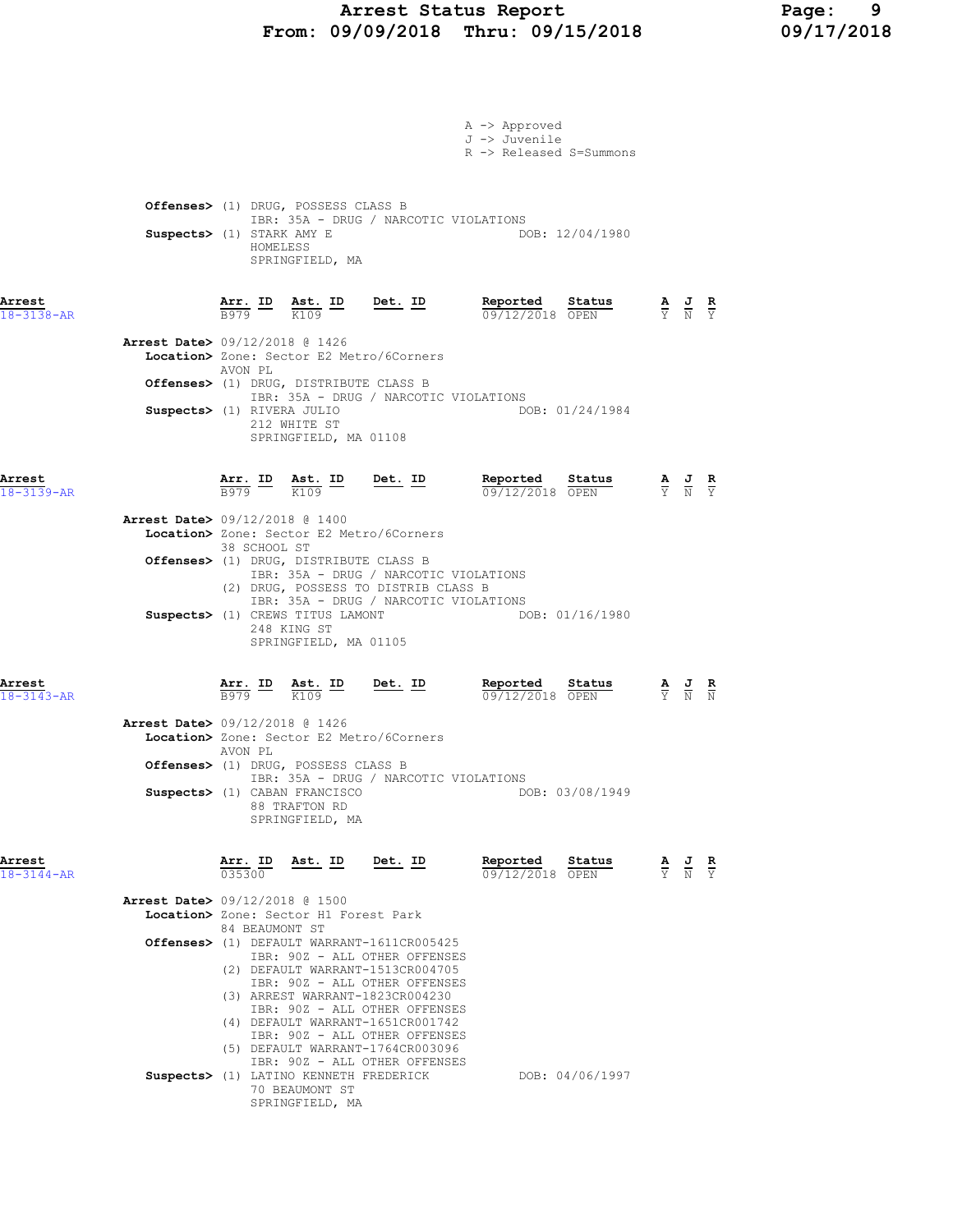## Arrest Status Report Page: 9 From: 09/09/2018 Thru: 09/15/2018 09/17/2018

|                                          |                                                                                    |                                                                             |                                                                                                                                       | A -> Approved<br>J -> Juvenile<br>R -> Released S=Summons |                                                                                                       |  |
|------------------------------------------|------------------------------------------------------------------------------------|-----------------------------------------------------------------------------|---------------------------------------------------------------------------------------------------------------------------------------|-----------------------------------------------------------|-------------------------------------------------------------------------------------------------------|--|
| Suspects> (1) STARK AMY E                | HOMELESS                                                                           | Offenses> (1) DRUG, POSSESS CLASS B<br>SPRINGFIELD, MA                      | IBR: 35A - DRUG / NARCOTIC VIOLATIONS                                                                                                 | DOB: 12/04/1980                                           |                                                                                                       |  |
| Arrest<br>$18 - 3138 - AR$               |                                                                                    |                                                                             | $\frac{\texttt{Arr.}}{\texttt{B979}}$ ID $\frac{\texttt{ Ast.}}{\texttt{K109}}$ ID Det. ID                                            | Reported<br>Status<br>09/12/2018 OPEN                     | $\frac{\mathbf{A}}{\overline{Y}}$ $\frac{\mathbf{J}}{\overline{N}}$ $\frac{\mathbf{R}}{\overline{Y}}$ |  |
| <b>Arrest Date&gt;</b> 09/12/2018 @ 1426 | AVON PL                                                                            |                                                                             | Location> Zone: Sector E2 Metro/6Corners                                                                                              |                                                           |                                                                                                       |  |
| Suspects> (1) RIVERA JULIO               |                                                                                    | Offenses> (1) DRUG, DISTRIBUTE CLASS B                                      | IBR: 35A - DRUG / NARCOTIC VIOLATIONS                                                                                                 | DOB: 01/24/1984                                           |                                                                                                       |  |
|                                          |                                                                                    | 212 WHITE ST<br>SPRINGFIELD, MA 01108                                       |                                                                                                                                       |                                                           |                                                                                                       |  |
| Arrest<br>18-3139-AR                     | $\frac{\texttt{Arr.}}{\texttt{B979}}$ $\frac{\texttt{Ast.}}{\text{K109}}$          |                                                                             | Det. ID                                                                                                                               | Reported<br>Status<br>09/12/2018 OPEN                     | $\frac{\mathbf{A}}{\mathbf{Y}}$ $\frac{\mathbf{J}}{\mathbf{N}}$ $\frac{\mathbf{R}}{\mathbf{Y}}$       |  |
| <b>Arrest Date&gt;</b> 09/12/2018 @ 1400 | 38 SCHOOL ST                                                                       |                                                                             | Location> Zone: Sector E2 Metro/6Corners                                                                                              |                                                           |                                                                                                       |  |
|                                          |                                                                                    | Offenses> (1) DRUG, DISTRIBUTE CLASS B                                      | IBR: 35A - DRUG / NARCOTIC VIOLATIONS<br>(2) DRUG, POSSESS TO DISTRIB CLASS B                                                         |                                                           |                                                                                                       |  |
|                                          |                                                                                    | Suspects> (1) CREWS TITUS LAMONT<br>248 KING ST<br>SPRINGFIELD, MA 01105    | IBR: 35A - DRUG / NARCOTIC VIOLATIONS                                                                                                 | DOB: 01/16/1980                                           |                                                                                                       |  |
| Arrest<br>$18 - 3143 - AR$               | $\frac{\texttt{Arr.}}{\texttt{B979}}$ ID $\frac{\texttt{ Ast.}}{\texttt{K109}}$ ID |                                                                             | $Det. ID$                                                                                                                             | Reported Status<br>09/12/2018 OPEN                        | $\frac{\mathbf{A}}{\mathbf{Y}}$ $\frac{\mathbf{J}}{\mathbf{N}}$ $\frac{\mathbf{R}}{\mathbf{N}}$       |  |
| Arrest Date> 09/12/2018 @ 1426           | AVON PL                                                                            |                                                                             | Location> Zone: Sector E2 Metro/6Corners                                                                                              |                                                           |                                                                                                       |  |
|                                          |                                                                                    | Offenses> (1) DRUG, POSSESS CLASS B<br>Suspects> (1) CABAN FRANCISCO        | IBR: 35A - DRUG / NARCOTIC VIOLATIONS                                                                                                 | DOB: 03/08/1949                                           |                                                                                                       |  |
|                                          |                                                                                    | 88 TRAFTON RD<br>SPRINGFIELD, MA                                            |                                                                                                                                       |                                                           |                                                                                                       |  |
| Arrest<br>$18 - 3144 - AR$               | Arr. ID<br>0.35300                                                                 | Ast. ID                                                                     | Det. ID                                                                                                                               | Reported<br>Status<br>09/12/2018 OPEN                     | $\frac{\mathbf{A}}{\mathbf{Y}}$ $\frac{\mathbf{J}}{\mathbf{N}}$ $\frac{\mathbf{R}}{\mathbf{Y}}$       |  |
| <b>Arrest Date&gt;</b> 09/12/2018 @ 1500 |                                                                                    | Location> Zone: Sector H1 Forest Park                                       |                                                                                                                                       |                                                           |                                                                                                       |  |
|                                          | 84 BEAUMONT ST                                                                     |                                                                             | Offenses> (1) DEFAULT WARRANT-1611CR005425<br>IBR: 90Z - ALL OTHER OFFENSES                                                           |                                                           |                                                                                                       |  |
|                                          |                                                                                    |                                                                             | (2) DEFAULT WARRANT-1513CR004705<br>IBR: 90Z - ALL OTHER OFFENSES<br>(3) ARREST WARRANT-1823CR004230<br>IBR: 90Z - ALL OTHER OFFENSES |                                                           |                                                                                                       |  |
|                                          |                                                                                    |                                                                             | (4) DEFAULT WARRANT-1651CR001742<br>IBR: 90Z - ALL OTHER OFFENSES<br>(5) DEFAULT WARRANT-1764CR003096                                 |                                                           |                                                                                                       |  |
|                                          |                                                                                    | Suspects> (1) LATINO KENNETH FREDERICK<br>70 BEAUMONT ST<br>SPRINGFIELD, MA | IBR: 90Z - ALL OTHER OFFENSES                                                                                                         | DOB: 04/06/1997                                           |                                                                                                       |  |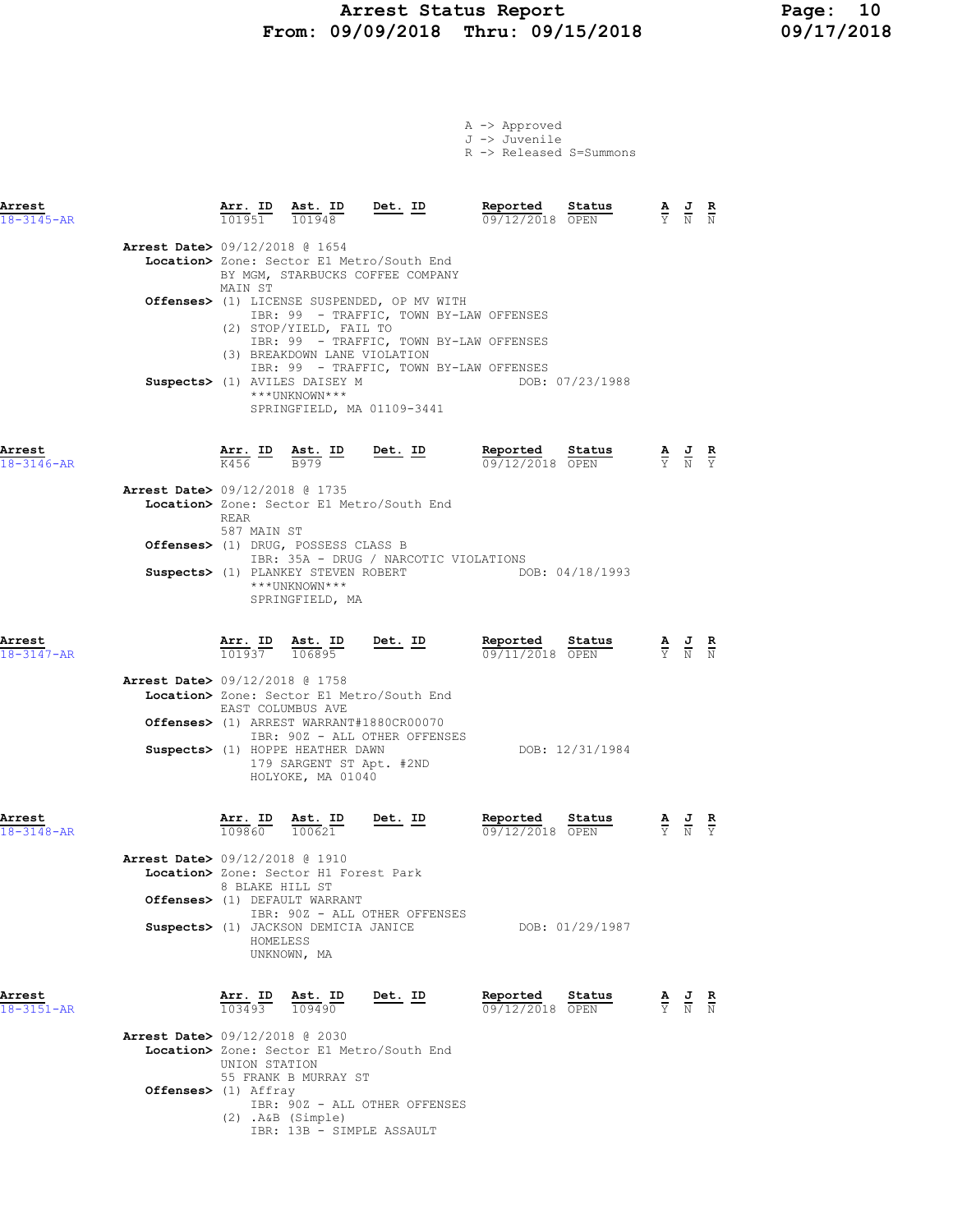### Arrest Status Report 10<br>19/09/2018 Thru: 09/15/2018 19/17/2018 From: 09/09/2018 Thru: 09/15/2018

Offenses> (1) Affray

|  | $A \rightarrow$ Approved |                                    |
|--|--------------------------|------------------------------------|
|  | J -> Juvenile            |                                    |
|  |                          | $R \rightarrow$ Released S=Summons |

| Arrest<br>$18 - 3145 - AR$ |                                          | Arr. ID<br>101951                  | Ast. ID<br>101948                                                                                                                              | Det. ID                                                                                                                                                                      | Reported<br>09/12/2018 OPEN                         | Status          | $\frac{\mathbf{A}}{\mathbf{Y}}$ $\frac{\mathbf{J}}{\mathbf{N}}$ $\frac{\mathbf{R}}{\mathbf{N}}$ |  |
|----------------------------|------------------------------------------|------------------------------------|------------------------------------------------------------------------------------------------------------------------------------------------|------------------------------------------------------------------------------------------------------------------------------------------------------------------------------|-----------------------------------------------------|-----------------|-------------------------------------------------------------------------------------------------|--|
|                            | <b>Arrest Date&gt;</b> 09/12/2018 @ 1654 | MAIN ST                            |                                                                                                                                                | Location> Zone: Sector E1 Metro/South End<br>BY MGM, STARBUCKS COFFEE COMPANY                                                                                                |                                                     |                 |                                                                                                 |  |
|                            |                                          |                                    | (2) STOP/YIELD, FAIL TO<br>(3) BREAKDOWN LANE VIOLATION<br>Suspects> (1) AVILES DAISEY M                                                       | Offenses> (1) LICENSE SUSPENDED, OP MV WITH<br>IBR: 99 - TRAFFIC, TOWN BY-LAW OFFENSES<br>IBR: 99 - TRAFFIC, TOWN BY-LAW OFFENSES<br>IBR: 99 - TRAFFIC, TOWN BY-LAW OFFENSES |                                                     | DOB: 07/23/1988 |                                                                                                 |  |
|                            |                                          |                                    | ***UNKNOWN***                                                                                                                                  | SPRINGFIELD, MA 01109-3441                                                                                                                                                   |                                                     |                 |                                                                                                 |  |
| Arrest<br>18-3146-AR       |                                          |                                    | $\frac{\text{Arr.}}{K456}$ ID $\frac{\text{Ast.}}{B979}$ ID Det. ID                                                                            |                                                                                                                                                                              | <u>Reported</u><br>09/12/2018 OPEN                  | Status          | $\frac{\mathbf{A}}{\mathbf{Y}}$ $\frac{\mathbf{J}}{\mathbf{N}}$ $\frac{\mathbf{R}}{\mathbf{Y}}$ |  |
|                            | <b>Arrest Date&gt;</b> 09/12/2018 @ 1735 | REAR<br>587 MAIN ST                |                                                                                                                                                | Location> Zone: Sector E1 Metro/South End                                                                                                                                    |                                                     |                 |                                                                                                 |  |
|                            |                                          |                                    | Offenses> (1) DRUG, POSSESS CLASS B<br>***UNKNOWN***<br>SPRINGFIELD, MA                                                                        | IBR: 35A - DRUG / NARCOTIC VIOLATIONS                                                                                                                                        | Suspects> (1) PLANKEY STEVEN ROBERT DOB: 04/18/1993 |                 |                                                                                                 |  |
| Arrest<br>18-3147-AR       |                                          |                                    | $\frac{\texttt{Arr.}}{101937}$ $\frac{\texttt{ Ast.}}{106895}$ Det. ID                                                                         |                                                                                                                                                                              | Reported<br>$09/11/2018$ OPEN                       | Status          | $\frac{\mathbf{A}}{\mathbf{Y}}$ $\frac{\mathbf{J}}{\mathbf{N}}$ $\frac{\mathbf{R}}{\mathbf{N}}$ |  |
|                            | <b>Arrest Date&gt;</b> 09/12/2018 @ 1758 | EAST COLUMBUS AVE                  | Suspects> (1) HOPPE HEATHER DAWN<br>179 SARGENT ST Apt. #2ND<br>HOLYOKE, MA 01040                                                              | Location> Zone: Sector E1 Metro/South End<br>Offenses> (1) ARREST WARRANT#1880CR00070<br>IBR: 90Z - ALL OTHER OFFENSES                                                       |                                                     | DOB: 12/31/1984 |                                                                                                 |  |
| Arrest<br>$18 - 3148 - AR$ | Arrest Date> 09/12/2018 @ 1910           | 8 BLAKE HILL ST                    | $\frac{\texttt{Arr. ID}}{109860}$ $\frac{\texttt{ Ast. ID}}{100621}$<br>Location> Zone: Sector H1 Forest Park<br>Offenses> (1) DEFAULT WARRANT | <u>Det.</u> ID                                                                                                                                                               | Reported<br>09/12/2018 OPEN                         | Status          | $\frac{\mathbf{A}}{\mathbf{Y}}$ $\frac{\mathbf{J}}{\mathbf{N}}$ $\frac{\mathbf{R}}{\mathbf{Y}}$ |  |
|                            |                                          | HOMELESS                           | Suspects> (1) JACKSON DEMICIA JANICE<br>UNKNOWN, MA                                                                                            | IBR: 90Z - ALL OTHER OFFENSES                                                                                                                                                |                                                     | DOB: 01/29/1987 |                                                                                                 |  |
| Arrest<br>$18 - 3151 - AR$ | Arrest Date> 09/12/2018 @ 2030           | Arr. ID<br>103493<br>UNION STATION | Ast. ID<br>109490<br>55 FRANK B MURRAY ST                                                                                                      | Det. ID<br>Location> Zone: Sector E1 Metro/South End                                                                                                                         | Reported<br>09/12/2018 OPEN                         | Status          | $\frac{\mathbf{A}}{\mathbf{Y}}$ $\frac{\mathbf{J}}{\mathbf{N}}$ $\frac{\mathbf{R}}{\mathbf{N}}$ |  |

IBR: 90Z - ALL OTHER OFFENSES

IBR: 13B - SIMPLE ASSAULT

(2) .A&B (Simple)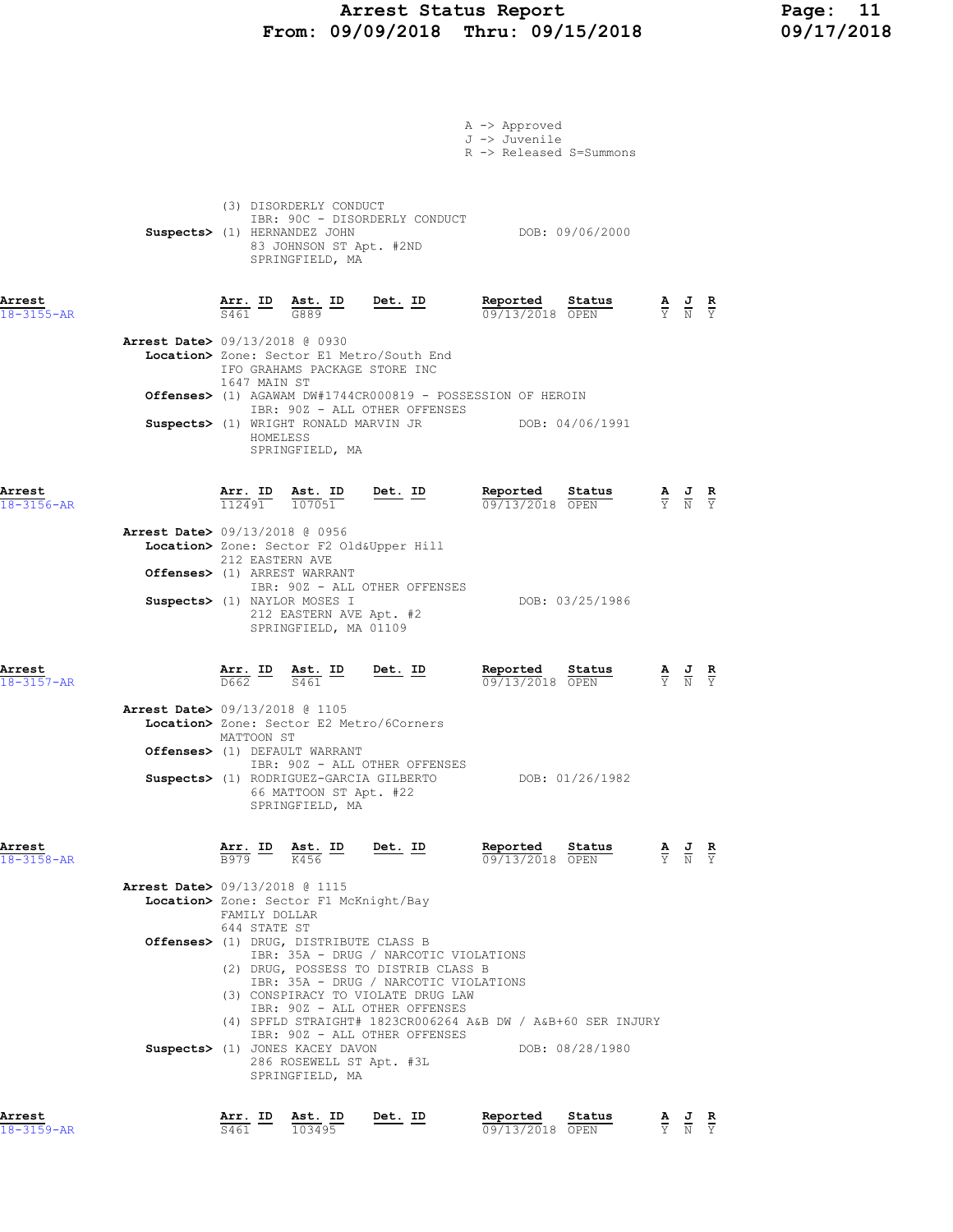## Arrest Status Report Page: 11 From: 09/09/2018 Thru: 09/15/2018 09/17/2018

|                                                              |                               |                                                                                                      |                                                                                                                                                      | A -> Approved                                                                                                                         |                                                                                                 |  |
|--------------------------------------------------------------|-------------------------------|------------------------------------------------------------------------------------------------------|------------------------------------------------------------------------------------------------------------------------------------------------------|---------------------------------------------------------------------------------------------------------------------------------------|-------------------------------------------------------------------------------------------------|--|
|                                                              |                               |                                                                                                      |                                                                                                                                                      | J -> Juvenile<br>R -> Released S=Summons                                                                                              |                                                                                                 |  |
|                                                              |                               | (3) DISORDERLY CONDUCT<br>Suspects> (1) HERNANDEZ JOHN<br>83 JOHNSON ST Apt. #2ND<br>SPRINGFIELD, MA | IBR: 90C - DISORDERLY CONDUCT                                                                                                                        | DOB: 09/06/2000                                                                                                                       |                                                                                                 |  |
| Arrest<br>$18 - 3155 - AR$                                   |                               |                                                                                                      | $\frac{\texttt{Arr.}}{\texttt{S461}}$ $\frac{\texttt{ID}}{\texttt{G889}}$ $\frac{\texttt{ID}}{\texttt{G889}}$ $\frac{\texttt{Det.}}{\texttt{D}}$     | Reported Status $\frac{0.09}{0.09}{13/2018}$                                                                                          | $\frac{\mathbf{A}}{\mathbf{Y}}$ $\frac{\mathbf{J}}{\mathbf{N}}$ $\frac{\mathbf{R}}{\mathbf{Y}}$ |  |
| <b>Arrest Date&gt;</b> 09/13/2018 @ 0930                     | 1647 MAIN ST                  | IFO GRAHAMS PACKAGE STORE INC                                                                        | Location> Zone: Sector E1 Metro/South End                                                                                                            |                                                                                                                                       |                                                                                                 |  |
|                                                              |                               |                                                                                                      | IBR: 90Z - ALL OTHER OFFENSES                                                                                                                        | <b>Offenses&gt;</b> (1) AGAWAM $DW#1744CR000819$ - POSSESSION OF HEROIN                                                               |                                                                                                 |  |
|                                                              | HOMELESS                      | SPRINGFIELD, MA                                                                                      |                                                                                                                                                      | Suspects> (1) WRIGHT RONALD MARVIN JR DOB: 04/06/1991                                                                                 |                                                                                                 |  |
| Arrest<br>$18 - 3156 - AR$<br>Arrest Date> 09/13/2018 @ 0956 |                               |                                                                                                      | $\frac{\texttt{Arr. ID}}{112491}$ $\frac{\texttt{ Ast. ID}}{107051}$ Det. ID                                                                         | Reported Status<br>09/13/2018 OPEN                                                                                                    | $\frac{\mathbf{A}}{\mathbf{Y}}$ $\frac{\mathbf{J}}{\mathbf{N}}$ $\frac{\mathbf{R}}{\mathbf{Y}}$ |  |
|                                                              | 212 EASTERN AVE               |                                                                                                      | Location> Zone: Sector F2 Old&Upper Hill                                                                                                             |                                                                                                                                       |                                                                                                 |  |
|                                                              |                               | Offenses> (1) ARREST WARRANT                                                                         | IBR: 90Z - ALL OTHER OFFENSES                                                                                                                        |                                                                                                                                       |                                                                                                 |  |
|                                                              |                               | Suspects> (1) NAYLOR MOSES I<br>212 EASTERN AVE Apt. #2<br>SPRINGFIELD, MA 01109                     |                                                                                                                                                      | DOB: 03/25/1986                                                                                                                       |                                                                                                 |  |
| Arrest<br>$18 - 3157 - AR$                                   |                               |                                                                                                      | $\frac{\texttt{Arr.}}{\texttt{D662}}$ ID $\frac{\texttt{ Ast.}}{\texttt{S461}}$ ID Det. ID                                                           | Reported Status<br>$\frac{\mathbf{A}}{\mathbf{Y}}$ $\frac{\mathbf{J}}{\mathbf{N}}$ $\frac{\mathbf{R}}{\mathbf{Y}}$<br>09/13/2018 OPEN |                                                                                                 |  |
| <b>Arrest Date&gt; 09/13/2018 @ 1105</b>                     | MATTOON ST                    |                                                                                                      | Location> Zone: Sector E2 Metro/6Corners                                                                                                             |                                                                                                                                       |                                                                                                 |  |
|                                                              |                               | Offenses> (1) DEFAULT WARRANT                                                                        | IBR: 90Z - ALL OTHER OFFENSES                                                                                                                        |                                                                                                                                       |                                                                                                 |  |
|                                                              |                               | Suspects> (1) RODRIGUEZ-GARCIA GILBERTO<br>66 MATTOON ST Apt. #22<br>SPRINGFIELD, MA                 |                                                                                                                                                      | DOB: 01/26/1982                                                                                                                       |                                                                                                 |  |
| Arrest<br>18-3158-AR                                         | <u>Arr. ID</u><br>B979        | $\frac{\text{Ast.}}{K456}$ ID                                                                        | <u>Det. ID</u>                                                                                                                                       | Reported<br>Status<br>09/13/2018 OPEN                                                                                                 | $\frac{\mathbf{A}}{\mathbf{Y}}$ $\frac{\mathbf{J}}{\mathbf{N}}$ $\frac{\mathbf{R}}{\mathbf{Y}}$ |  |
| <b>Arrest Date&gt;</b> 09/13/2018 @ 1115                     |                               | Location> Zone: Sector F1 McKnight/Bay                                                               |                                                                                                                                                      |                                                                                                                                       |                                                                                                 |  |
|                                                              | FAMILY DOLLAR<br>644 STATE ST | Offenses> (1) DRUG, DISTRIBUTE CLASS B                                                               | IBR: 35A - DRUG / NARCOTIC VIOLATIONS                                                                                                                |                                                                                                                                       |                                                                                                 |  |
|                                                              |                               |                                                                                                      | (2) DRUG, POSSESS TO DISTRIB CLASS B<br>IBR: 35A - DRUG / NARCOTIC VIOLATIONS<br>(3) CONSPIRACY TO VIOLATE DRUG LAW<br>IBR: 90Z - ALL OTHER OFFENSES |                                                                                                                                       |                                                                                                 |  |
|                                                              |                               |                                                                                                      | IBR: 90Z - ALL OTHER OFFENSES                                                                                                                        | (4) SPFLD STRAIGHT# 1823CR006264 A&B DW / A&B+60 SER INJURY                                                                           |                                                                                                 |  |
|                                                              |                               | Suspects> (1) JONES KACEY DAVON<br>286 ROSEWELL ST Apt. #3L<br>SPRINGFIELD, MA                       |                                                                                                                                                      | DOB: 08/28/1980                                                                                                                       |                                                                                                 |  |
| Arrest<br>18-3159-AR                                         | <u>Arr. ID</u><br>S461        | Ast. ID<br>103495                                                                                    | Det. ID                                                                                                                                              | Reported<br>Status<br>09/13/2018 OPEN                                                                                                 | $\frac{\mathbf{A}}{\mathbf{Y}}$ $\frac{\mathbf{J}}{\mathbf{N}}$ $\frac{\mathbf{R}}{\mathbf{Y}}$ |  |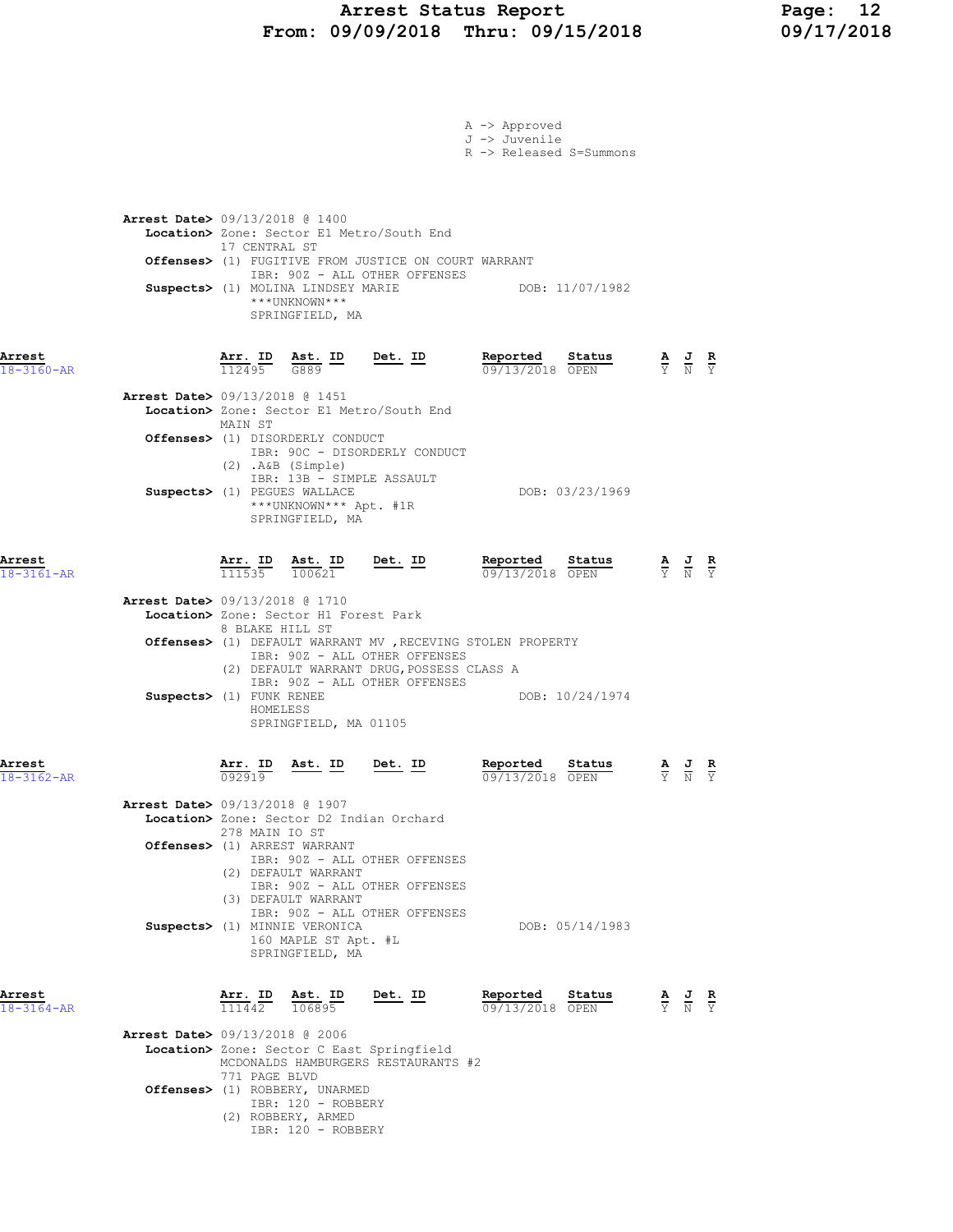## Arrest Status Report Page: 12 From: 09/09/2018 Thru: 09/15/2018 09/17/2018

|                            |                                                                                                                                                                                                                                                                                                                                                                     | A -> Approved<br>J -> Juvenile<br>R -> Released S=Summons  |                                                                                                       |  |
|----------------------------|---------------------------------------------------------------------------------------------------------------------------------------------------------------------------------------------------------------------------------------------------------------------------------------------------------------------------------------------------------------------|------------------------------------------------------------|-------------------------------------------------------------------------------------------------------|--|
|                            | <b>Arrest Date&gt;</b> 09/13/2018 @ 1400<br>Location> Zone: Sector E1 Metro/South End<br>17 CENTRAL ST<br><b>Offenses&gt;</b> (1) FUGITIVE FROM JUSTICE ON COURT WARRANT<br>IBR: 90Z - ALL OTHER OFFENSES<br>Suspects> (1) MOLINA LINDSEY MARIE<br>***UNKNOWN***<br>SPRINGFIELD, MA                                                                                 | DOB: 11/07/1982                                            |                                                                                                       |  |
| Arrest<br>18-3160-AR       | Det. ID<br>Arr. ID<br>$\frac{\text{Ast.}}{\text{G889}}$ ID<br>112495                                                                                                                                                                                                                                                                                                | Reported<br>Status<br>09/13/2018 OPEN                      | $\frac{\mathbf{A}}{\overline{Y}}$ $\frac{\mathbf{J}}{\overline{N}}$ $\frac{\mathbf{R}}{\overline{Y}}$ |  |
|                            | <b>Arrest Date&gt;</b> 09/13/2018 @ 1451<br>Location> Zone: Sector E1 Metro/South End<br>MAIN ST<br><b>Offenses&gt;</b> (1) DISORDERLY CONDUCT<br>IBR: 90C - DISORDERLY CONDUCT<br>(2) .A&B (Simple)<br>IBR: 13B - SIMPLE ASSAULT<br>Suspects> (1) PEGUES WALLACE<br>***UNKNOWN*** Apt. #1R<br>SPRINGFIELD, MA                                                      | DOB: 03/23/1969                                            |                                                                                                       |  |
| Arrest<br>18-3161-AR       | <u>Det. ID</u><br><u>Arr. ID</u><br>$\frac{\text{Ast.}}{100621}$<br>111535                                                                                                                                                                                                                                                                                          | Reported State<br>$\frac{0.9713}{0.00000}$ State<br>Status | $\frac{\mathbf{A}}{\mathbf{Y}}$ $\frac{\mathbf{J}}{\mathbf{N}}$ $\frac{\mathbf{R}}{\mathbf{Y}}$       |  |
|                            | <b>Arrest Date&gt;</b> 09/13/2018 @ 1710<br>Location> Zone: Sector H1 Forest Park<br>8 BLAKE HILL ST<br>Offenses> (1) DEFAULT WARRANT MV, RECEVING STOLEN PROPERTY<br>IBR: 90Z - ALL OTHER OFFENSES<br>(2) DEFAULT WARRANT DRUG, POSSESS CLASS A<br>IBR: 90Z - ALL OTHER OFFENSES<br>Suspects> (1) FUNK RENEE<br>HOMELESS<br>SPRINGFIELD, MA 01105                  | DOB: 10/24/1974                                            |                                                                                                       |  |
| Arrest<br>18-3162-AR       | Arr. ID<br>Ast. ID<br>Det. ID<br>092919                                                                                                                                                                                                                                                                                                                             | Reported<br>Status<br>09/13/2018 OPEN                      | $\underline{A}$ $\underline{J}$ $\underline{R}$<br>Y N Y                                              |  |
|                            | <b>Arrest Date&gt;</b> 09/13/2018 @ 1907<br>Location> Zone: Sector D2 Indian Orchard<br>278 MAIN IO ST<br>Offenses> (1) ARREST WARRANT<br>IBR: 90Z - ALL OTHER OFFENSES<br>(2) DEFAULT WARRANT<br>IBR: 90Z - ALL OTHER OFFENSES<br>(3) DEFAULT WARRANT<br>IBR: 90Z - ALL OTHER OFFENSES<br>Suspects> (1) MINNIE VERONICA<br>160 MAPLE ST Apt. #L<br>SPRINGFIELD, MA | DOB: 05/14/1983                                            |                                                                                                       |  |
| Arrest<br>$18 - 3164 - AR$ | Arr. ID<br>Ast. ID<br><u>Det. ID</u><br>111442<br>106895                                                                                                                                                                                                                                                                                                            | Reported<br>Status<br>09/13/2018 OPEN                      | $\frac{\mathbf{A}}{\mathbf{Y}}$ $\frac{\mathbf{J}}{\mathbf{N}}$ $\frac{\mathbf{R}}{\mathbf{Y}}$       |  |
|                            | <b>Arrest Date&gt;</b> 09/13/2018 @ 2006<br>Location> Zone: Sector C East Springfield<br>MCDONALDS HAMBURGERS RESTAURANTS #2<br>771 PAGE BLVD                                                                                                                                                                                                                       |                                                            |                                                                                                       |  |
|                            | Offenses> (1) ROBBERY, UNARMED<br>IBR: 120 - ROBBERY<br>(2) ROBBERY, ARMED<br>IBR: 120 - ROBBERY                                                                                                                                                                                                                                                                    |                                                            |                                                                                                       |  |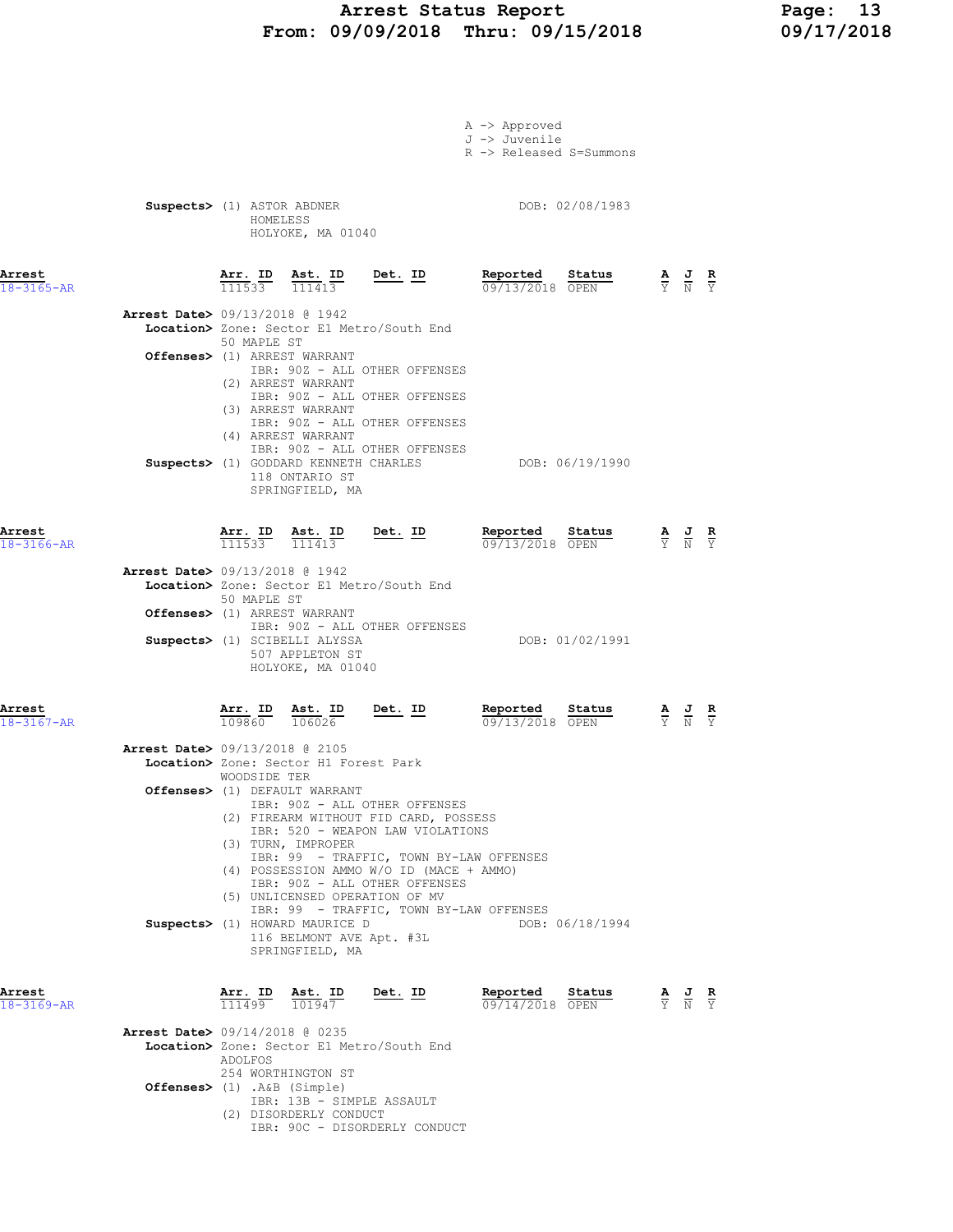### Arrest Status Report 13<br>19/09/2018 Thru: 09/15/2018 19/17/2018 From: 09/09/2018 Thru: 09/15/2018

|                            |                                          |                                                           |                                                                                                     |                                                                                                                                                                                                   | A -> Approved<br>J -> Juvenile<br>R -> Released S=Summons |                 |                                                                                                 |  |
|----------------------------|------------------------------------------|-----------------------------------------------------------|-----------------------------------------------------------------------------------------------------|---------------------------------------------------------------------------------------------------------------------------------------------------------------------------------------------------|-----------------------------------------------------------|-----------------|-------------------------------------------------------------------------------------------------|--|
|                            |                                          | HOMELESS                                                  | Suspects> (1) ASTOR ABDNER<br>HOLYOKE, MA 01040                                                     |                                                                                                                                                                                                   |                                                           | DOB: 02/08/1983 |                                                                                                 |  |
| Arrest<br>$18 - 3165 - AR$ |                                          |                                                           |                                                                                                     | $\frac{\texttt{Arr. ID}}{111533}$ $\frac{\texttt{ Ast. ID}}{111413}$ Det. ID                                                                                                                      | Reported Status<br>09/13/2018 OPEN                        |                 | $\frac{\mathbf{A}}{\mathbf{Y}}$ $\frac{\mathbf{J}}{\mathbf{N}}$ $\frac{\mathbf{R}}{\mathbf{Y}}$ |  |
|                            | <b>Arrest Date&gt; 09/13/2018 @ 1942</b> | 50 MAPLE ST                                               |                                                                                                     | Location> Zone: Sector E1 Metro/South End                                                                                                                                                         |                                                           |                 |                                                                                                 |  |
|                            |                                          |                                                           | Offenses> (1) ARREST WARRANT                                                                        | IBR: 90Z - ALL OTHER OFFENSES                                                                                                                                                                     |                                                           |                 |                                                                                                 |  |
|                            |                                          |                                                           | (2) ARREST WARRANT<br>(3) ARREST WARRANT<br>(4) ARREST WARRANT<br>118 ONTARIO ST<br>SPRINGFIELD, MA | IBR: 90Z - ALL OTHER OFFENSES<br>IBR: 90Z - ALL OTHER OFFENSES<br>IBR: 90Z - ALL OTHER OFFENSES<br>Suspects> (1) GODDARD KENNETH CHARLES                                                          |                                                           | DOB: 06/19/1990 |                                                                                                 |  |
| Arrest<br>$18 - 3166 - AR$ |                                          |                                                           | $\frac{\texttt{Arr. ID}}{111533}$ $\frac{\texttt{ Ast. ID}}{111413}$                                | $Det. ID$                                                                                                                                                                                         | Reported Status<br>09/13/2018 OPEN                        |                 | $\frac{\mathbf{A}}{\mathbf{Y}}$ $\frac{\mathbf{J}}{\mathbf{N}}$ $\frac{\mathbf{R}}{\mathbf{Y}}$ |  |
|                            | <b>Arrest Date&gt; 09/13/2018 @ 1942</b> | 50 MAPLE ST                                               |                                                                                                     | Location> Zone: Sector E1 Metro/South End                                                                                                                                                         |                                                           |                 |                                                                                                 |  |
|                            |                                          |                                                           | Offenses> (1) ARREST WARRANT<br>Suspects> (1) SCIBELLI ALYSSA                                       | IBR: 90Z - ALL OTHER OFFENSES                                                                                                                                                                     |                                                           | DOB: 01/02/1991 |                                                                                                 |  |
|                            |                                          |                                                           | 507 APPLETON ST<br>HOLYOKE, MA 01040                                                                |                                                                                                                                                                                                   |                                                           |                 |                                                                                                 |  |
| Arrest<br>$18 - 3167 - AR$ |                                          | $\frac{\text{Arr.}}{109860}$ $\frac{\text{dst.}}{106026}$ | Ast. ID                                                                                             | $Det. ID$                                                                                                                                                                                         | Reported<br>09/13/2018 OPEN                               | Status          | $\frac{\mathbf{A}}{\mathbf{Y}}$ $\frac{\mathbf{J}}{\mathbf{N}}$ $\frac{\mathbf{R}}{\mathbf{Y}}$ |  |
|                            | Arrest Date> 09/13/2018 @ 2105           |                                                           | Location> Zone: Sector H1 Forest Park                                                               |                                                                                                                                                                                                   |                                                           |                 |                                                                                                 |  |
|                            |                                          | WOODSIDE TER                                              | Offenses> (1) DEFAULT WARRANT<br>(3) TURN, IMPROPER                                                 | IBR: 90Z - ALL OTHER OFFENSES<br>(2) FIREARM WITHOUT FID CARD, POSSESS<br>IBR: 520 - WEAPON LAW VIOLATIONS                                                                                        |                                                           |                 |                                                                                                 |  |
|                            |                                          |                                                           |                                                                                                     | IBR: 99 - TRAFFIC, TOWN BY-LAW OFFENSES<br>(4) POSSESSION AMMO W/O ID (MACE + AMMO)<br>IBR: 90Z - ALL OTHER OFFENSES<br>(5) UNLICENSED OPERATION OF MV<br>IBR: 99 - TRAFFIC, TOWN BY-LAW OFFENSES |                                                           |                 |                                                                                                 |  |
|                            |                                          |                                                           | Suspects> (1) HOWARD MAURICE D<br>116 BELMONT AVE Apt. #3L<br>SPRINGFIELD, MA                       |                                                                                                                                                                                                   |                                                           | DOB: 06/18/1994 |                                                                                                 |  |
| Arrest<br>18-3169-AR       |                                          | 111499                                                    | <u>Arr. ID Ast. ID Det. ID</u><br>101947                                                            |                                                                                                                                                                                                   | Reported<br>09/14/2018 OPEN                               | Status          | $\frac{\mathbf{A}}{\mathbf{Y}}$ $\frac{\mathbf{J}}{\mathbf{N}}$ $\frac{\mathbf{R}}{\mathbf{Y}}$ |  |
|                            | <b>Arrest Date&gt; 09/14/2018 @ 0235</b> | ADOLFOS                                                   | 254 WORTHINGTON ST                                                                                  | Location> Zone: Sector E1 Metro/South End                                                                                                                                                         |                                                           |                 |                                                                                                 |  |
|                            | Offenses> (1) .A&B (Simple)              |                                                           |                                                                                                     |                                                                                                                                                                                                   |                                                           |                 |                                                                                                 |  |

 IBR: 13B - SIMPLE ASSAULT (2) DISORDERLY CONDUCT

IBR: 90C - DISORDERLY CONDUCT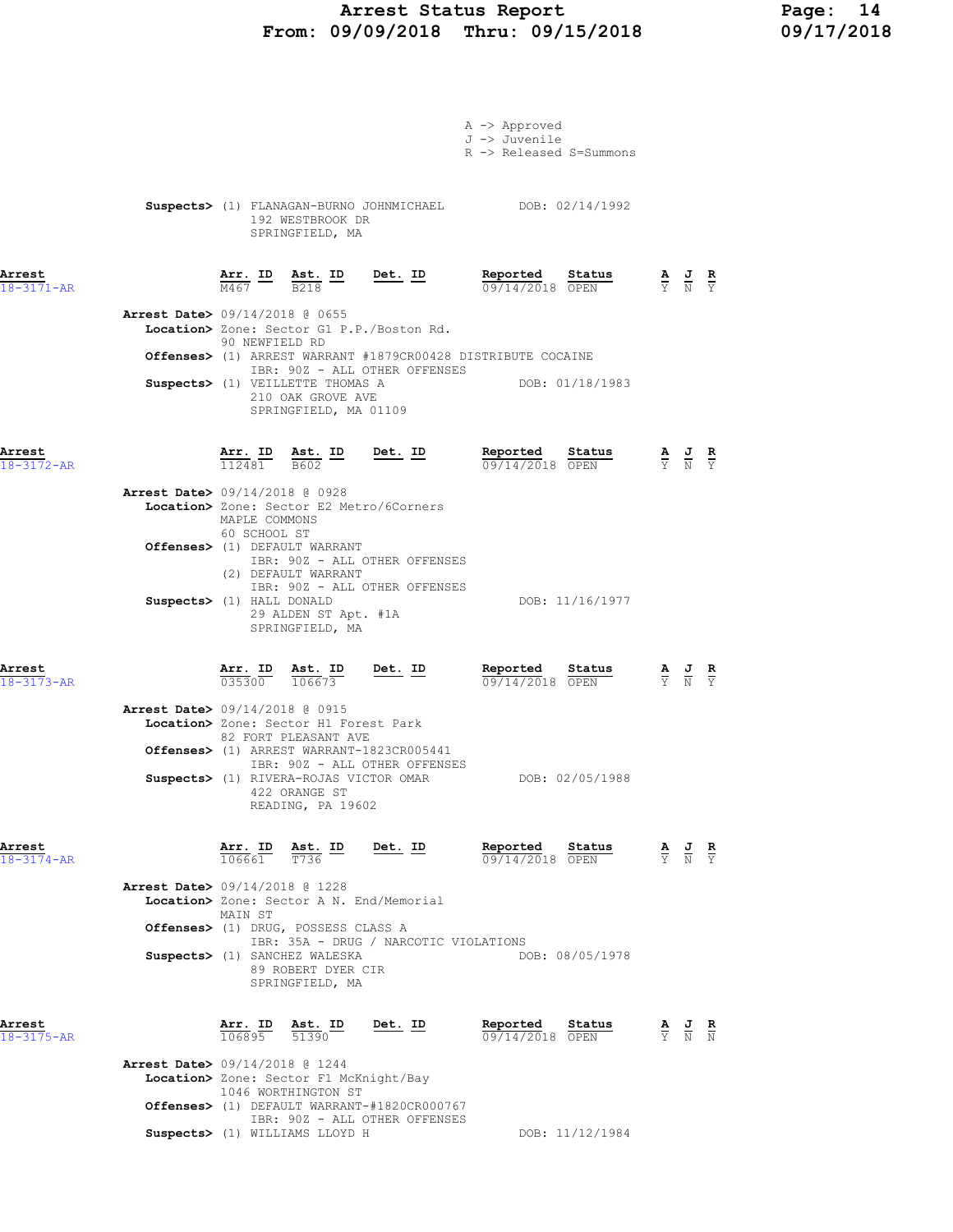## Arrest Status Report Page: 14 From: 09/09/2018 Thru: 09/15/2018 09/17/2018

|                                          |                               |                                                                                                               |                                                                                                    | A -> Approved<br>J -> Juvenile<br>R -> Released S=Summons                                                                                                                                                                                                                                                                                            |                                                                                                 |  |
|------------------------------------------|-------------------------------|---------------------------------------------------------------------------------------------------------------|----------------------------------------------------------------------------------------------------|------------------------------------------------------------------------------------------------------------------------------------------------------------------------------------------------------------------------------------------------------------------------------------------------------------------------------------------------------|-------------------------------------------------------------------------------------------------|--|
|                                          |                               | 192 WESTBROOK DR<br>SPRINGFIELD, MA                                                                           |                                                                                                    | Suspects> (1) FLANAGAN-BURNO JOHNMICHAEL DOB: 02/14/1992                                                                                                                                                                                                                                                                                             |                                                                                                 |  |
| Arrest<br>$18 - 3171 - AR$               |                               |                                                                                                               | $\frac{\texttt{Arr.}}{\text{M467}}$ ID $\frac{\texttt{ Ast.}}{\text{B218}}$ ID Det. ID             | Reported Status<br><b>Reported</b> Status $\frac{A}{V}$ J R<br>$\frac{D}{V}$ $\frac{3}{V}$ T R                                                                                                                                                                                                                                                       |                                                                                                 |  |
| <b>Arrest Date&gt;</b> 09/14/2018 @ 0655 | 90 NEWFIELD RD                |                                                                                                               | Location> Zone: Sector G1 P.P./Boston Rd.                                                          |                                                                                                                                                                                                                                                                                                                                                      |                                                                                                 |  |
|                                          |                               | Suspects> (1) VEILLETTE THOMAS A<br>210 OAK GROVE AVE<br>SPRINGFIELD, MA 01109                                | IBR: 90Z - ALL OTHER OFFENSES                                                                      | <b>Offenses&gt;</b> (1) ARREST WARRANT #1879CR00428 DISTRIBUTE COCAINE<br>DOB: 01/18/1983                                                                                                                                                                                                                                                            |                                                                                                 |  |
| Arrest<br>$18 - 3172 - AR$               |                               | $\frac{\texttt{Arr.}}{112481}$ ast. ID<br>$\frac{\texttt{Ast.}}{B602}$                                        | Det. ID                                                                                            | Reported Status<br><b>Reported Status A J R</b> $\frac{1}{0.9}$ <b>A J R</b> $\frac{1}{10}$ <b>R</b> $\frac{1}{10}$ <b>R</b> $\frac{1}{10}$ <b>R</b> $\frac{1}{10}$ <b>R</b> $\frac{1}{10}$ <b>R</b> $\frac{1}{10}$ <b>R</b> $\frac{1}{10}$ <b>R</b> $\frac{1}{10}$ <b>R</b> $\frac{1}{10}$ <b>R</b> $\frac{1}{10}$ <b>R</b> $\frac{1}{10}$ <b>R</b> |                                                                                                 |  |
| Arrest Date> 09/14/2018 @ 0928           | MAPLE COMMONS<br>60 SCHOOL ST |                                                                                                               | Location> Zone: Sector E2 Metro/6Corners                                                           |                                                                                                                                                                                                                                                                                                                                                      |                                                                                                 |  |
|                                          |                               | Offenses> (1) DEFAULT WARRANT<br>(2) DEFAULT WARRANT                                                          | IBR: 90Z - ALL OTHER OFFENSES<br>IBR: 90Z - ALL OTHER OFFENSES                                     |                                                                                                                                                                                                                                                                                                                                                      |                                                                                                 |  |
| Suspects> (1) HALL DONALD                |                               | 29 ALDEN ST Apt. #1A<br>SPRINGFIELD, MA                                                                       |                                                                                                    | DOB: 11/16/1977                                                                                                                                                                                                                                                                                                                                      |                                                                                                 |  |
| Arrest<br>$18 - 3173 - AR$               |                               | $\frac{\text{Arr.}}{035300}$ $\frac{\text{ Ast.}}{106673}$                                                    | $\underbrace{\text{Est.}}$ ID Det. ID                                                              | Reported Status<br>09/14/2018 OPEN                                                                                                                                                                                                                                                                                                                   | $\frac{\mathbf{A}}{\mathbf{Y}}$ $\frac{\mathbf{J}}{\mathbf{N}}$ $\frac{\mathbf{R}}{\mathbf{Y}}$ |  |
| Arrest Date> 09/14/2018 @ 0915           |                               | Location> Zone: Sector H1 Forest Park<br>82 FORT PLEASANT AVE                                                 |                                                                                                    |                                                                                                                                                                                                                                                                                                                                                      |                                                                                                 |  |
|                                          |                               | Suspects> (1) RIVERA-ROJAS VICTOR OMAR<br>422 ORANGE ST<br>READING, PA 19602                                  | Offenses> (1) ARREST WARRANT-1823CR005441<br>IBR: 90Z - ALL OTHER OFFENSES                         | DOB: 02/05/1988                                                                                                                                                                                                                                                                                                                                      |                                                                                                 |  |
| Arrest<br>$18 - 3174 - AR$               |                               |                                                                                                               | $\frac{\texttt{Arr. ID}}{106661}$ $\frac{\texttt{ Ast. ID}}{T736}$ $\frac{\texttt{Det. ID}}{T736}$ | Reported Status<br>09/14/2018 OPEN                                                                                                                                                                                                                                                                                                                   | $\frac{\mathbf{A}}{\mathbf{Y}}$ $\frac{\mathbf{J}}{\mathbf{N}}$ $\frac{\mathbf{R}}{\mathbf{Y}}$ |  |
| <b>Arrest Date&gt;</b> 09/14/2018 @ 1228 | MAIN ST                       |                                                                                                               | Location> Zone: Sector A N. End/Memorial                                                           |                                                                                                                                                                                                                                                                                                                                                      |                                                                                                 |  |
|                                          |                               | Offenses> (1) DRUG, POSSESS CLASS A<br>Suspects> (1) SANCHEZ WALESKA<br>89 ROBERT DYER CIR<br>SPRINGFIELD, MA | IBR: 35A - DRUG / NARCOTIC VIOLATIONS                                                              | DOB: 08/05/1978                                                                                                                                                                                                                                                                                                                                      |                                                                                                 |  |
| Arrest<br>18-3175-AR                     |                               |                                                                                                               | $\frac{\texttt{Arr. ID}}{106895}$ $\frac{\texttt{ Ast. ID}}{51390}$ Det. ID                        | Reported<br><b>Status A J R</b><br>OPEN Y N N<br>09/14/2018 OPEN                                                                                                                                                                                                                                                                                     |                                                                                                 |  |
| <b>Arrest Date&gt;</b> 09/14/2018 @ 1244 |                               | Location> Zone: Sector F1 McKnight/Bay<br>1046 WORTHINGTON ST                                                 |                                                                                                    |                                                                                                                                                                                                                                                                                                                                                      |                                                                                                 |  |
|                                          |                               | Suspects> (1) WILLIAMS LLOYD H                                                                                | Offenses> (1) DEFAULT WARRANT-#1820CR000767<br>IBR: 90Z - ALL OTHER OFFENSES                       | DOB: 11/12/1984                                                                                                                                                                                                                                                                                                                                      |                                                                                                 |  |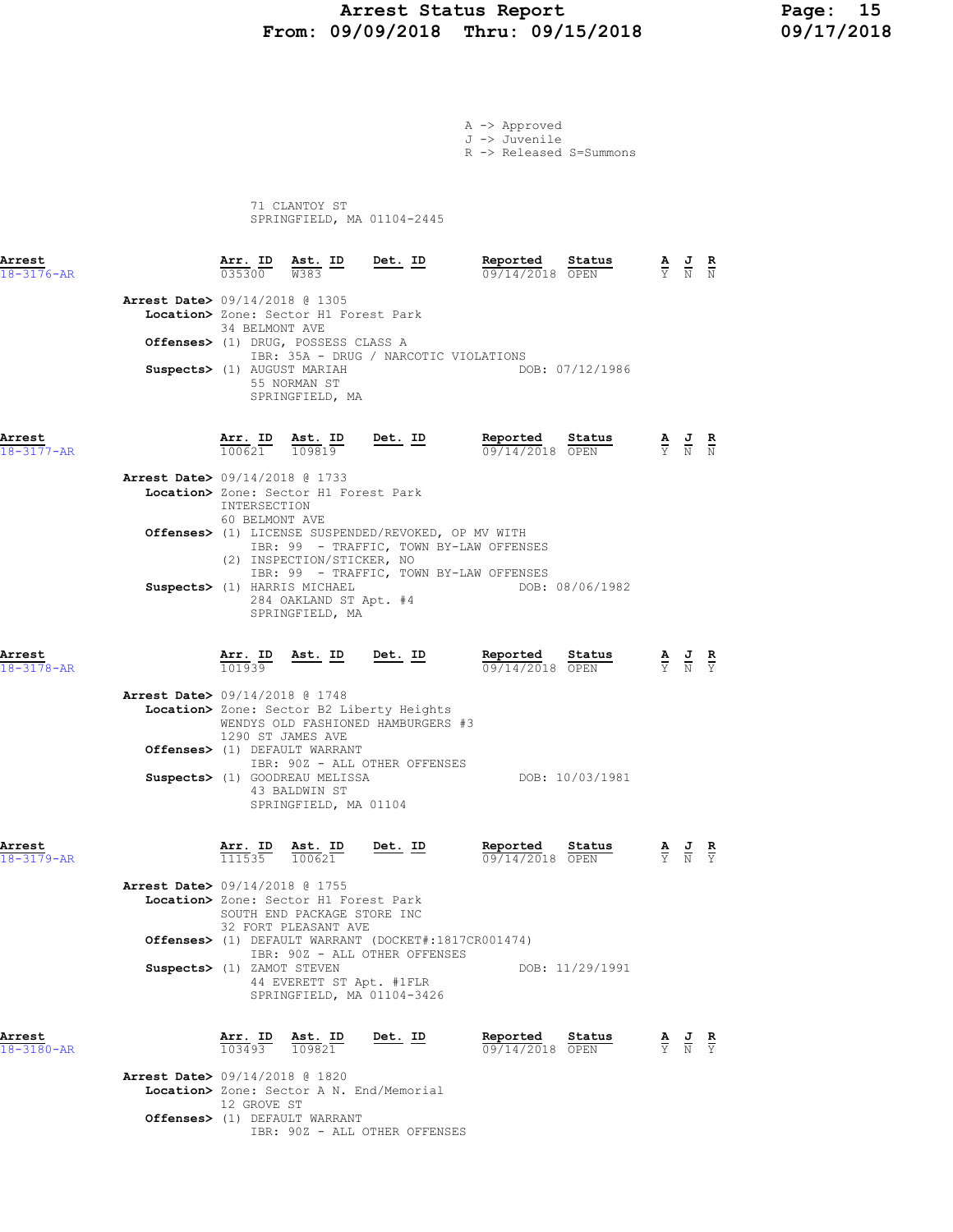### Arrest Status Report Page: 15 From: 09/09/2018 Thru: 09/15/2018

|                                          |                                   |                                                                                                           |                                                                                                                               | A -> Approved<br>J -> Juvenile<br>R -> Released S=Summons  |                                                                                                 |  |
|------------------------------------------|-----------------------------------|-----------------------------------------------------------------------------------------------------------|-------------------------------------------------------------------------------------------------------------------------------|------------------------------------------------------------|-------------------------------------------------------------------------------------------------|--|
|                                          |                                   | 71 CLANTOY ST                                                                                             | SPRINGFIELD, MA 01104-2445                                                                                                    |                                                            |                                                                                                 |  |
| Arrest<br>$18 - 3176 - AR$               |                                   |                                                                                                           | $\frac{\texttt{Arr. ID}}{035300}$ $\frac{\texttt{ Ast. ID}}{W383}$ Det. ID                                                    | Reported Status<br>09/14/2018 OPEN                         | $\frac{\mathbf{A}}{\mathbf{Y}}$ $\frac{\mathbf{J}}{\mathbf{N}}$ $\frac{\mathbf{R}}{\mathbf{N}}$ |  |
| <b>Arrest Date&gt;</b> 09/14/2018 @ 1305 | 34 BELMONT AVE                    | Location> Zone: Sector H1 Forest Park                                                                     |                                                                                                                               |                                                            |                                                                                                 |  |
|                                          | Suspects> (1) AUGUST MARIAH       | Offenses> (1) DRUG, POSSESS CLASS A<br>55 NORMAN ST<br>SPRINGFIELD, MA                                    | IBR: 35A - DRUG / NARCOTIC VIOLATIONS                                                                                         | DOB: 07/12/1986                                            |                                                                                                 |  |
| Arrest<br>18-3177-AR                     | $\frac{\texttt{Arr. ID}}{100621}$ | <u>Ast. ID</u><br>109819                                                                                  | $Det. ID$                                                                                                                     | Reported Status<br>09/14/2018 OPEN                         | $\frac{\mathbf{A}}{\mathbf{Y}}$ $\frac{\mathbf{J}}{\mathbf{N}}$ $\frac{\mathbf{R}}{\mathbf{N}}$ |  |
| Arrest Date> 09/14/2018 @ 1733           | INTERSECTION<br>60 BELMONT AVE    | Location> Zone: Sector H1 Forest Park                                                                     |                                                                                                                               |                                                            |                                                                                                 |  |
|                                          |                                   | (2) INSPECTION/STICKER, NO                                                                                | Offenses> (1) LICENSE SUSPENDED/REVOKED, OP MV WITH                                                                           | IBR: 99 - TRAFFIC, TOWN BY-LAW OFFENSES                    |                                                                                                 |  |
|                                          |                                   | Suspects> (1) HARRIS MICHAEL<br>284 OAKLAND ST Apt. #4<br>SPRINGFIELD, MA                                 |                                                                                                                               | IBR: 99 - TRAFFIC, TOWN BY-LAW OFFENSES<br>DOB: 08/06/1982 |                                                                                                 |  |
| Arrest<br>$18 - 3178 - AR$               | $\frac{\text{Arr. ID}}{101939}$   | <u>Ast. ID Det. ID</u>                                                                                    |                                                                                                                               | Reported<br>Status<br>09/14/2018 OPEN                      | $\frac{\mathbf{A}}{\mathbf{Y}}$ $\frac{\mathbf{J}}{\mathbf{N}}$ $\frac{\mathbf{R}}{\mathbf{Y}}$ |  |
| <b>Arrest Date&gt;</b> 09/14/2018 @ 1748 |                                   | 1290 ST JAMES AVE                                                                                         | Location> Zone: Sector B2 Liberty Heights<br>WENDYS OLD FASHIONED HAMBURGERS #3                                               |                                                            |                                                                                                 |  |
|                                          |                                   | Offenses> (1) DEFAULT WARRANT<br>Suspects> (1) GOODREAU MELISSA<br>43 BALDWIN ST<br>SPRINGFIELD, MA 01104 | IBR: 90Z - ALL OTHER OFFENSES                                                                                                 | DOB: 10/03/1981                                            |                                                                                                 |  |
| Arrest<br>$18 - 3179 - AR$               |                                   | $\frac{\texttt{Arr. ID}}{111535}$ $\frac{\texttt{ Ast. ID}}{100621}$                                      | Det. ID                                                                                                                       | Reported<br>Status<br>09/14/2018 OPEN                      | $\frac{\mathbf{A}}{\mathbf{Y}}$ $\frac{\mathbf{J}}{\mathbf{N}}$ $\frac{\mathbf{R}}{\mathbf{Y}}$ |  |
| <b>Arrest Date&gt;</b> 09/14/2018 @ 1755 |                                   | Location> Zone: Sector H1 Forest Park<br>SOUTH END PACKAGE STORE INC<br>32 FORT PLEASANT AVE              |                                                                                                                               |                                                            |                                                                                                 |  |
|                                          | Suspects> (1) ZAMOT STEVEN        | 44 EVERETT ST Apt. #1FLR                                                                                  | <b>Offenses&gt;</b> (1) DEFAULT WARRANT (DOCKET#:1817CR001474)<br>IBR: 90Z - ALL OTHER OFFENSES<br>SPRINGFIELD, MA 01104-3426 | DOB: 11/29/1991                                            |                                                                                                 |  |
| Arrest<br>18-3180-AR                     | Arr. ID<br>$\frac{103493}{}$      | Ast. ID<br>109821                                                                                         | <u>Det. ID</u>                                                                                                                | Reported<br>Status<br>09/14/2018 OPEN                      | $\frac{\mathbf{A}}{\mathbf{Y}}$ $\frac{\mathbf{J}}{\mathbf{N}}$ $\frac{\mathbf{R}}{\mathbf{Y}}$ |  |
| Arrest Date> 09/14/2018 @ 1820           | 12 GROVE ST                       |                                                                                                           | Location> Zone: Sector A N. End/Memorial                                                                                      |                                                            |                                                                                                 |  |

IBR: 90Z - ALL OTHER OFFENSES

Offenses> (1) DEFAULT WARRANT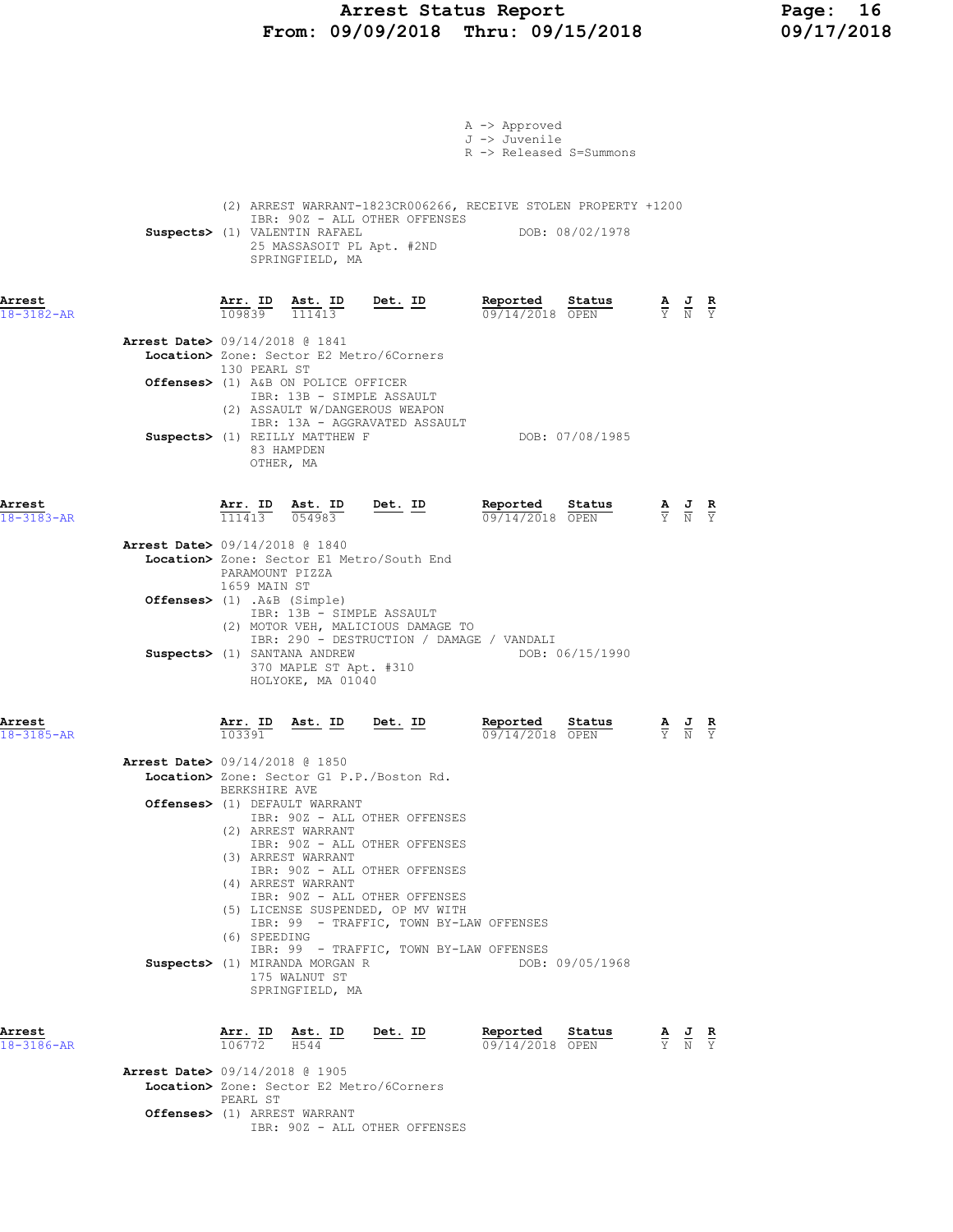### Arrest Status Report Page: 16 From: 09/09/2018 Thru: 09/15/2018

|                            |                                                               |                                 |                                                                                                                                             |                | A -> Approved<br>J -> Juvenile                                                     | R -> Released S=Summons                                                           |                                                                                                 |  |
|----------------------------|---------------------------------------------------------------|---------------------------------|---------------------------------------------------------------------------------------------------------------------------------------------|----------------|------------------------------------------------------------------------------------|-----------------------------------------------------------------------------------|-------------------------------------------------------------------------------------------------|--|
|                            |                                                               |                                 | IBR: 90Z - ALL OTHER OFFENSES<br>Suspects> (1) VALENTIN RAFAEL<br>25 MASSASOIT PL Apt. #2ND<br>SPRINGFIELD, MA                              |                |                                                                                    | (2) ARREST WARRANT-1823CR006266, RECEIVE STOLEN PROPERTY +1200<br>DOB: 08/02/1978 |                                                                                                 |  |
| Arrest<br>$18 - 3182 - AR$ |                                                               | Arr. ID<br>109839               | Ast. ID<br>$\frac{111413}$                                                                                                                  | Det. ID        | Reported                                                                           | Status<br>09/14/2018 OPEN                                                         | $\frac{\mathbf{A}}{\mathbf{Y}}$ $\frac{\mathbf{J}}{\mathbf{N}}$ $\frac{\mathbf{R}}{\mathbf{Y}}$ |  |
|                            | <b>Arrest Date&gt;</b> 09/14/2018 @ 1841                      | 130 PEARL ST                    | Location> Zone: Sector E2 Metro/6Corners<br>Offenses> (1) A&B ON POLICE OFFICER                                                             |                |                                                                                    |                                                                                   |                                                                                                 |  |
|                            |                                                               |                                 | IBR: 13B - SIMPLE ASSAULT<br>(2) ASSAULT W/DANGEROUS WEAPON<br>IBR: 13A - AGGRAVATED ASSAULT<br>Suspects> (1) REILLY MATTHEW F              |                |                                                                                    | DOB: 07/08/1985                                                                   |                                                                                                 |  |
|                            |                                                               |                                 | 83 HAMPDEN<br>OTHER, MA                                                                                                                     |                |                                                                                    |                                                                                   |                                                                                                 |  |
| Arrest<br>$18 - 3183 - AR$ |                                                               | Arr. ID<br>$\frac{111413}{ }$   | Ast. ID<br>054983                                                                                                                           | $Det. ID$      | Reported                                                                           | Status<br>09/14/2018 OPEN                                                         | $\frac{\mathbf{A}}{\mathbf{Y}}$ $\frac{\mathbf{J}}{\mathbf{N}}$ $\frac{\mathbf{R}}{\mathbf{Y}}$ |  |
|                            | Arrest Date> 09/14/2018 @ 1840<br>Offenses> (1) .A&B (Simple) | PARAMOUNT PIZZA<br>1659 MAIN ST | Location> Zone: Sector E1 Metro/South End                                                                                                   |                |                                                                                    |                                                                                   |                                                                                                 |  |
|                            |                                                               |                                 | IBR: 13B - SIMPLE ASSAULT<br>(2) MOTOR VEH, MALICIOUS DAMAGE TO<br>Suspects> (1) SANTANA ANDREW                                             |                | IBR: 290 - DESTRUCTION / DAMAGE / VANDALI                                          | DOB: 06/15/1990                                                                   |                                                                                                 |  |
|                            |                                                               |                                 | 370 MAPLE ST Apt. #310<br>HOLYOKE, MA 01040                                                                                                 |                |                                                                                    |                                                                                   |                                                                                                 |  |
| Arrest<br>$18 - 3185 - AR$ |                                                               | $\frac{\text{Arr.}}{103391}$    | <u>Ast. ID</u>                                                                                                                              | <u>Det. ID</u> | Reported                                                                           | Status<br>09/14/2018 OPEN                                                         | $\frac{\mathbf{A}}{\mathbf{Y}}$ $\frac{\mathbf{J}}{\mathbf{N}}$ $\frac{\mathbf{R}}{\mathbf{Y}}$ |  |
|                            | <b>Arrest Date&gt;</b> 09/14/2018 @ 1850                      | BERKSHIRE AVE                   | Location> Zone: Sector G1 P.P./Boston Rd.<br>Offenses> (1) DEFAULT WARRANT<br>IBR: 90Z - ALL OTHER OFFENSES<br>(2) ARREST WARRANT           |                |                                                                                    |                                                                                   |                                                                                                 |  |
|                            |                                                               |                                 | IBR: 90Z - ALL OTHER OFFENSES<br>(3) ARREST WARRANT<br>IBR: 90Z - ALL OTHER OFFENSES<br>(4) ARREST WARRANT<br>IBR: 90Z - ALL OTHER OFFENSES |                |                                                                                    |                                                                                   |                                                                                                 |  |
|                            |                                                               | (6) SPEEDING                    | (5) LICENSE SUSPENDED, OP MV WITH<br>Suspects> (1) MIRANDA MORGAN R<br>175 WALNUT ST                                                        |                | IBR: 99 - TRAFFIC, TOWN BY-LAW OFFENSES<br>IBR: 99 - TRAFFIC, TOWN BY-LAW OFFENSES | DOB: 09/05/1968                                                                   |                                                                                                 |  |
| Arrest<br>18-3186-AR       |                                                               |                                 | SPRINGFIELD, MA<br>$\frac{\texttt{Arr.}}{106772}$ $\frac{\texttt{ Ast.}}{H544}$ $\frac{\texttt{ID}}{H544}$ $\frac{\texttt{Det.}}{H544}$     |                |                                                                                    | Reported Status<br>09/14/2018 OPEN                                                | $\frac{\mathbf{A}}{\mathbf{Y}}$ $\frac{\mathbf{J}}{\mathbf{N}}$ $\frac{\mathbf{R}}{\mathbf{Y}}$ |  |
|                            | <b>Arrest Date&gt; 09/14/2018 @ 1905</b>                      | PEARL ST                        | Location> Zone: Sector E2 Metro/6Corners                                                                                                    |                |                                                                                    |                                                                                   |                                                                                                 |  |

IBR: 90Z - ALL OTHER OFFENSES

Offenses> (1) ARREST WARRANT